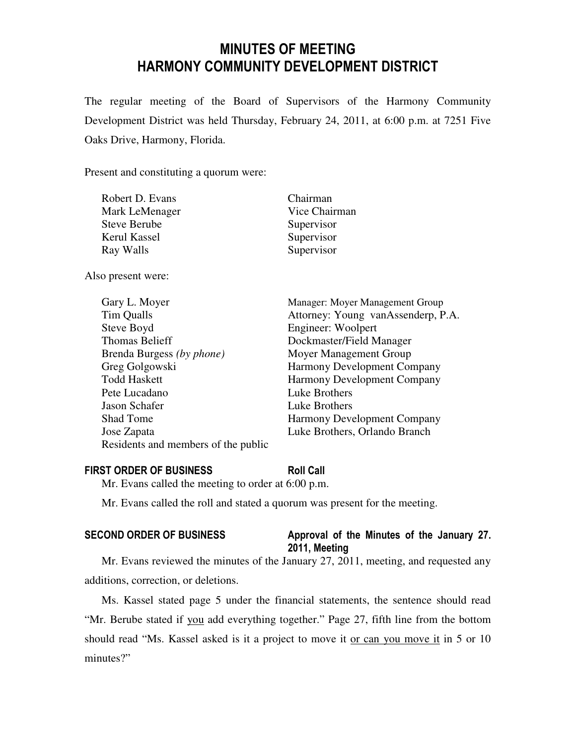# MINUTES OF MEETING HARMONY COMMUNITY DEVELOPMENT DISTRICT

The regular meeting of the Board of Supervisors of the Harmony Community Development District was held Thursday, February 24, 2011, at 6:00 p.m. at 7251 Five Oaks Drive, Harmony, Florida.

Present and constituting a quorum were:

| Robert D. Evans     | Chairman      |
|---------------------|---------------|
| Mark LeMenager      | Vice Chairman |
| <b>Steve Berube</b> | Supervisor    |
| Kerul Kassel        | Supervisor    |
| Ray Walls           | Supervisor    |
|                     |               |

Also present were:

|                  | Gary L. Moyer                       | Manager: Moyer Management Group    |
|------------------|-------------------------------------|------------------------------------|
| Tim Qualls       |                                     | Attorney: Young vanAssenderp, P.A. |
| Steve Boyd       |                                     | Engineer: Woolpert                 |
|                  | <b>Thomas Belieff</b>               | Dockmaster/Field Manager           |
|                  | Brenda Burgess (by phone)           | Moyer Management Group             |
|                  | Greg Golgowski                      | <b>Harmony Development Company</b> |
|                  | <b>Todd Haskett</b>                 | <b>Harmony Development Company</b> |
|                  | Pete Lucadano                       | Luke Brothers                      |
|                  | Jason Schafer                       | Luke Brothers                      |
| <b>Shad Tome</b> |                                     | Harmony Development Company        |
| Jose Zapata      |                                     | Luke Brothers, Orlando Branch      |
|                  | Residents and members of the public |                                    |

### FIRST ORDER OF BUSINESS Roll Call

Mr. Evans called the meeting to order at 6:00 p.m.

Mr. Evans called the roll and stated a quorum was present for the meeting.

# SECOND ORDER OF BUSINESS Approval of the Minutes of the January 27. 2011, Meeting

Mr. Evans reviewed the minutes of the January 27, 2011, meeting, and requested any additions, correction, or deletions.

Ms. Kassel stated page 5 under the financial statements, the sentence should read "Mr. Berube stated if you add everything together." Page 27, fifth line from the bottom should read "Ms. Kassel asked is it a project to move it or can you move it in 5 or 10 minutes?"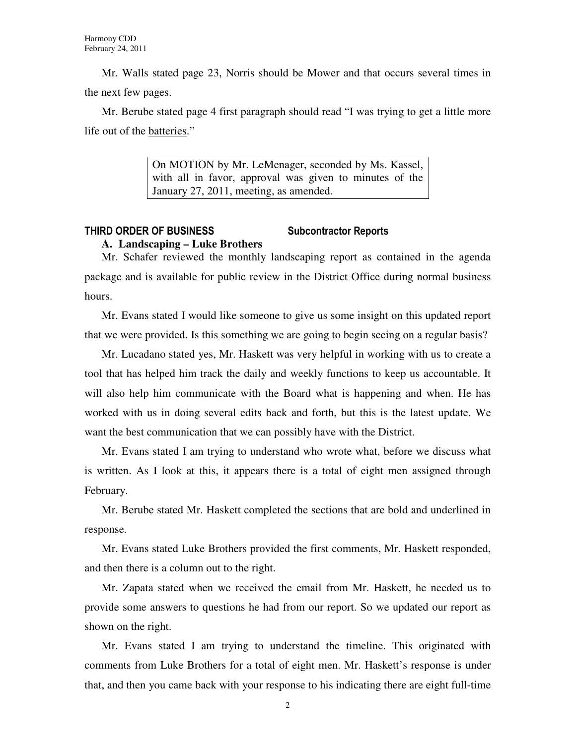Mr. Walls stated page 23, Norris should be Mower and that occurs several times in the next few pages.

Mr. Berube stated page 4 first paragraph should read "I was trying to get a little more life out of the batteries."

> On MOTION by Mr. LeMenager, seconded by Ms. Kassel, with all in favor, approval was given to minutes of the January 27, 2011, meeting, as amended.

## THIRD ORDER OF BUSINESS Subcontractor Reports **A. Landscaping – Luke Brothers**

Mr. Schafer reviewed the monthly landscaping report as contained in the agenda package and is available for public review in the District Office during normal business hours.

Mr. Evans stated I would like someone to give us some insight on this updated report that we were provided. Is this something we are going to begin seeing on a regular basis?

Mr. Lucadano stated yes, Mr. Haskett was very helpful in working with us to create a tool that has helped him track the daily and weekly functions to keep us accountable. It will also help him communicate with the Board what is happening and when. He has worked with us in doing several edits back and forth, but this is the latest update. We want the best communication that we can possibly have with the District.

Mr. Evans stated I am trying to understand who wrote what, before we discuss what is written. As I look at this, it appears there is a total of eight men assigned through February.

Mr. Berube stated Mr. Haskett completed the sections that are bold and underlined in response.

Mr. Evans stated Luke Brothers provided the first comments, Mr. Haskett responded, and then there is a column out to the right.

Mr. Zapata stated when we received the email from Mr. Haskett, he needed us to provide some answers to questions he had from our report. So we updated our report as shown on the right.

Mr. Evans stated I am trying to understand the timeline. This originated with comments from Luke Brothers for a total of eight men. Mr. Haskett's response is under that, and then you came back with your response to his indicating there are eight full-time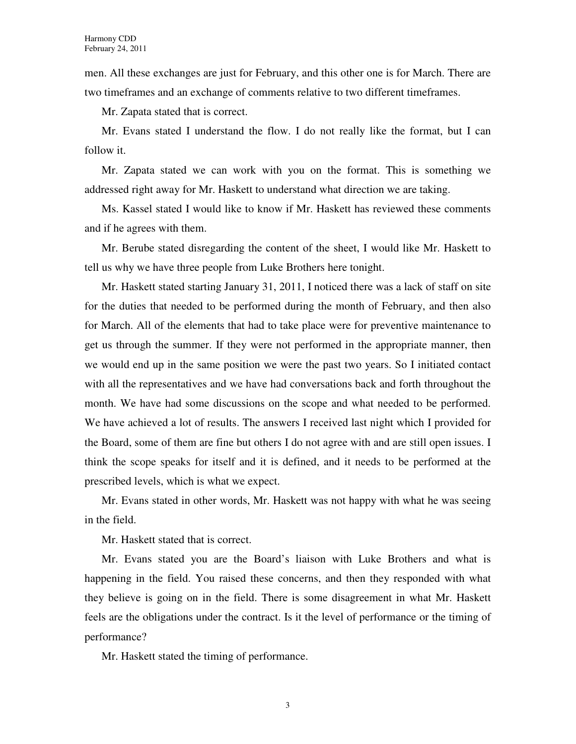men. All these exchanges are just for February, and this other one is for March. There are two timeframes and an exchange of comments relative to two different timeframes.

Mr. Zapata stated that is correct.

Mr. Evans stated I understand the flow. I do not really like the format, but I can follow it.

Mr. Zapata stated we can work with you on the format. This is something we addressed right away for Mr. Haskett to understand what direction we are taking.

Ms. Kassel stated I would like to know if Mr. Haskett has reviewed these comments and if he agrees with them.

Mr. Berube stated disregarding the content of the sheet, I would like Mr. Haskett to tell us why we have three people from Luke Brothers here tonight.

Mr. Haskett stated starting January 31, 2011, I noticed there was a lack of staff on site for the duties that needed to be performed during the month of February, and then also for March. All of the elements that had to take place were for preventive maintenance to get us through the summer. If they were not performed in the appropriate manner, then we would end up in the same position we were the past two years. So I initiated contact with all the representatives and we have had conversations back and forth throughout the month. We have had some discussions on the scope and what needed to be performed. We have achieved a lot of results. The answers I received last night which I provided for the Board, some of them are fine but others I do not agree with and are still open issues. I think the scope speaks for itself and it is defined, and it needs to be performed at the prescribed levels, which is what we expect.

Mr. Evans stated in other words, Mr. Haskett was not happy with what he was seeing in the field.

Mr. Haskett stated that is correct.

Mr. Evans stated you are the Board's liaison with Luke Brothers and what is happening in the field. You raised these concerns, and then they responded with what they believe is going on in the field. There is some disagreement in what Mr. Haskett feels are the obligations under the contract. Is it the level of performance or the timing of performance?

Mr. Haskett stated the timing of performance.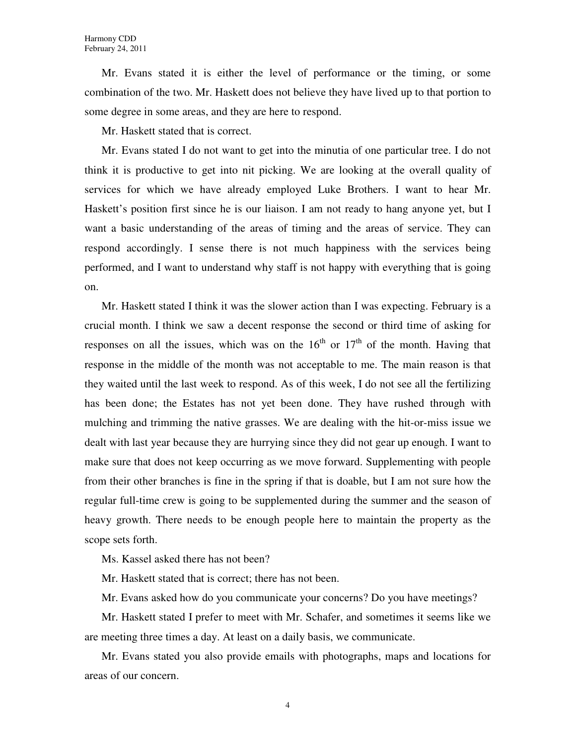Mr. Evans stated it is either the level of performance or the timing, or some combination of the two. Mr. Haskett does not believe they have lived up to that portion to some degree in some areas, and they are here to respond.

Mr. Haskett stated that is correct.

Mr. Evans stated I do not want to get into the minutia of one particular tree. I do not think it is productive to get into nit picking. We are looking at the overall quality of services for which we have already employed Luke Brothers. I want to hear Mr. Haskett's position first since he is our liaison. I am not ready to hang anyone yet, but I want a basic understanding of the areas of timing and the areas of service. They can respond accordingly. I sense there is not much happiness with the services being performed, and I want to understand why staff is not happy with everything that is going on.

Mr. Haskett stated I think it was the slower action than I was expecting. February is a crucial month. I think we saw a decent response the second or third time of asking for responses on all the issues, which was on the  $16<sup>th</sup>$  or  $17<sup>th</sup>$  of the month. Having that response in the middle of the month was not acceptable to me. The main reason is that they waited until the last week to respond. As of this week, I do not see all the fertilizing has been done; the Estates has not yet been done. They have rushed through with mulching and trimming the native grasses. We are dealing with the hit-or-miss issue we dealt with last year because they are hurrying since they did not gear up enough. I want to make sure that does not keep occurring as we move forward. Supplementing with people from their other branches is fine in the spring if that is doable, but I am not sure how the regular full-time crew is going to be supplemented during the summer and the season of heavy growth. There needs to be enough people here to maintain the property as the scope sets forth.

Ms. Kassel asked there has not been?

Mr. Haskett stated that is correct; there has not been.

Mr. Evans asked how do you communicate your concerns? Do you have meetings?

Mr. Haskett stated I prefer to meet with Mr. Schafer, and sometimes it seems like we are meeting three times a day. At least on a daily basis, we communicate.

Mr. Evans stated you also provide emails with photographs, maps and locations for areas of our concern.

4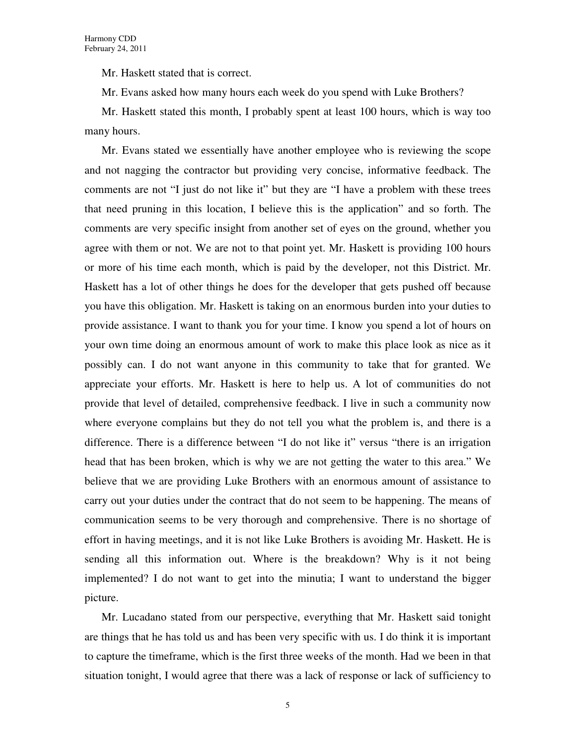Mr. Haskett stated that is correct.

Mr. Evans asked how many hours each week do you spend with Luke Brothers?

Mr. Haskett stated this month, I probably spent at least 100 hours, which is way too many hours.

Mr. Evans stated we essentially have another employee who is reviewing the scope and not nagging the contractor but providing very concise, informative feedback. The comments are not "I just do not like it" but they are "I have a problem with these trees that need pruning in this location, I believe this is the application" and so forth. The comments are very specific insight from another set of eyes on the ground, whether you agree with them or not. We are not to that point yet. Mr. Haskett is providing 100 hours or more of his time each month, which is paid by the developer, not this District. Mr. Haskett has a lot of other things he does for the developer that gets pushed off because you have this obligation. Mr. Haskett is taking on an enormous burden into your duties to provide assistance. I want to thank you for your time. I know you spend a lot of hours on your own time doing an enormous amount of work to make this place look as nice as it possibly can. I do not want anyone in this community to take that for granted. We appreciate your efforts. Mr. Haskett is here to help us. A lot of communities do not provide that level of detailed, comprehensive feedback. I live in such a community now where everyone complains but they do not tell you what the problem is, and there is a difference. There is a difference between "I do not like it" versus "there is an irrigation head that has been broken, which is why we are not getting the water to this area." We believe that we are providing Luke Brothers with an enormous amount of assistance to carry out your duties under the contract that do not seem to be happening. The means of communication seems to be very thorough and comprehensive. There is no shortage of effort in having meetings, and it is not like Luke Brothers is avoiding Mr. Haskett. He is sending all this information out. Where is the breakdown? Why is it not being implemented? I do not want to get into the minutia; I want to understand the bigger picture.

Mr. Lucadano stated from our perspective, everything that Mr. Haskett said tonight are things that he has told us and has been very specific with us. I do think it is important to capture the timeframe, which is the first three weeks of the month. Had we been in that situation tonight, I would agree that there was a lack of response or lack of sufficiency to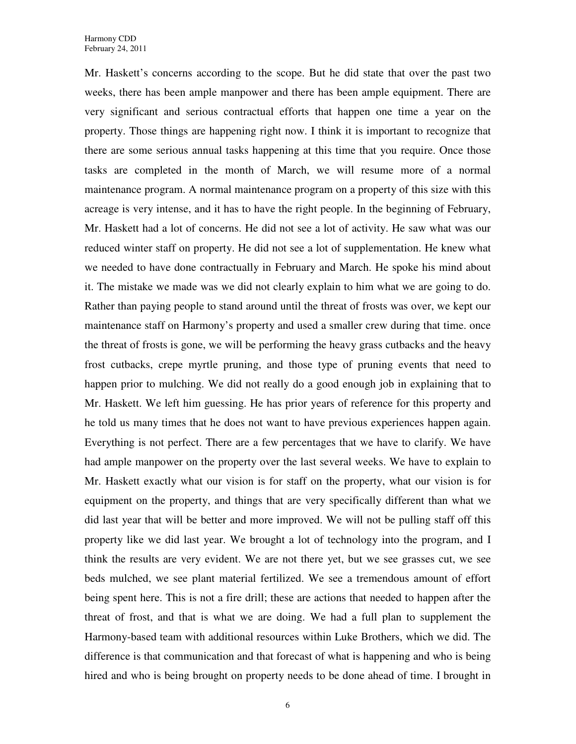Mr. Haskett's concerns according to the scope. But he did state that over the past two weeks, there has been ample manpower and there has been ample equipment. There are very significant and serious contractual efforts that happen one time a year on the property. Those things are happening right now. I think it is important to recognize that there are some serious annual tasks happening at this time that you require. Once those tasks are completed in the month of March, we will resume more of a normal maintenance program. A normal maintenance program on a property of this size with this acreage is very intense, and it has to have the right people. In the beginning of February, Mr. Haskett had a lot of concerns. He did not see a lot of activity. He saw what was our reduced winter staff on property. He did not see a lot of supplementation. He knew what we needed to have done contractually in February and March. He spoke his mind about it. The mistake we made was we did not clearly explain to him what we are going to do. Rather than paying people to stand around until the threat of frosts was over, we kept our maintenance staff on Harmony's property and used a smaller crew during that time. once the threat of frosts is gone, we will be performing the heavy grass cutbacks and the heavy frost cutbacks, crepe myrtle pruning, and those type of pruning events that need to happen prior to mulching. We did not really do a good enough job in explaining that to Mr. Haskett. We left him guessing. He has prior years of reference for this property and he told us many times that he does not want to have previous experiences happen again. Everything is not perfect. There are a few percentages that we have to clarify. We have had ample manpower on the property over the last several weeks. We have to explain to Mr. Haskett exactly what our vision is for staff on the property, what our vision is for equipment on the property, and things that are very specifically different than what we did last year that will be better and more improved. We will not be pulling staff off this property like we did last year. We brought a lot of technology into the program, and I think the results are very evident. We are not there yet, but we see grasses cut, we see beds mulched, we see plant material fertilized. We see a tremendous amount of effort being spent here. This is not a fire drill; these are actions that needed to happen after the threat of frost, and that is what we are doing. We had a full plan to supplement the Harmony-based team with additional resources within Luke Brothers, which we did. The difference is that communication and that forecast of what is happening and who is being hired and who is being brought on property needs to be done ahead of time. I brought in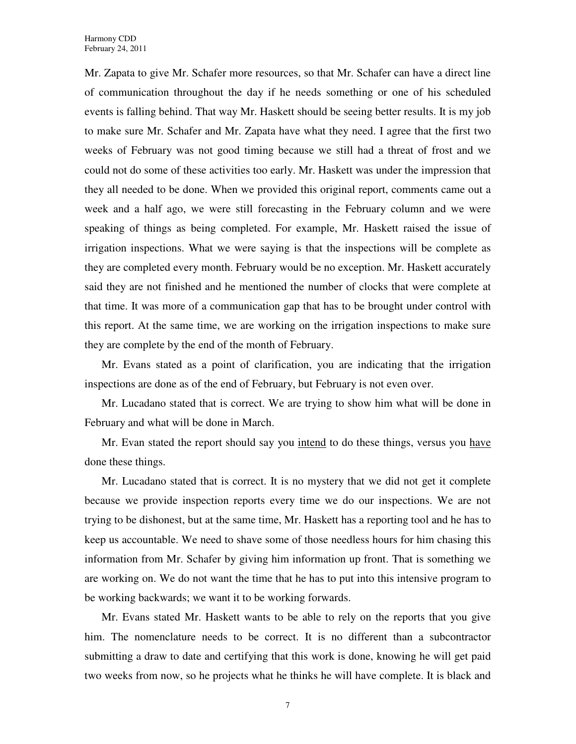Mr. Zapata to give Mr. Schafer more resources, so that Mr. Schafer can have a direct line of communication throughout the day if he needs something or one of his scheduled events is falling behind. That way Mr. Haskett should be seeing better results. It is my job to make sure Mr. Schafer and Mr. Zapata have what they need. I agree that the first two weeks of February was not good timing because we still had a threat of frost and we could not do some of these activities too early. Mr. Haskett was under the impression that they all needed to be done. When we provided this original report, comments came out a week and a half ago, we were still forecasting in the February column and we were speaking of things as being completed. For example, Mr. Haskett raised the issue of irrigation inspections. What we were saying is that the inspections will be complete as they are completed every month. February would be no exception. Mr. Haskett accurately said they are not finished and he mentioned the number of clocks that were complete at that time. It was more of a communication gap that has to be brought under control with this report. At the same time, we are working on the irrigation inspections to make sure they are complete by the end of the month of February.

Mr. Evans stated as a point of clarification, you are indicating that the irrigation inspections are done as of the end of February, but February is not even over.

Mr. Lucadano stated that is correct. We are trying to show him what will be done in February and what will be done in March.

Mr. Evan stated the report should say you intend to do these things, versus you have done these things.

Mr. Lucadano stated that is correct. It is no mystery that we did not get it complete because we provide inspection reports every time we do our inspections. We are not trying to be dishonest, but at the same time, Mr. Haskett has a reporting tool and he has to keep us accountable. We need to shave some of those needless hours for him chasing this information from Mr. Schafer by giving him information up front. That is something we are working on. We do not want the time that he has to put into this intensive program to be working backwards; we want it to be working forwards.

Mr. Evans stated Mr. Haskett wants to be able to rely on the reports that you give him. The nomenclature needs to be correct. It is no different than a subcontractor submitting a draw to date and certifying that this work is done, knowing he will get paid two weeks from now, so he projects what he thinks he will have complete. It is black and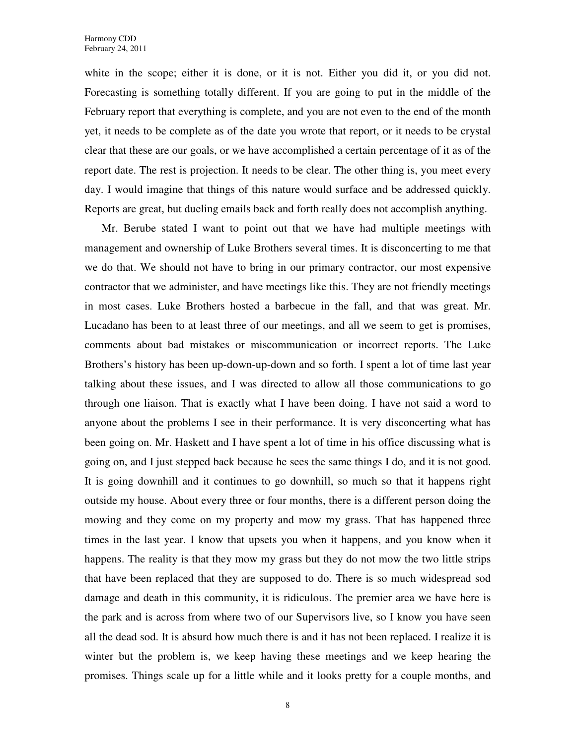white in the scope; either it is done, or it is not. Either you did it, or you did not. Forecasting is something totally different. If you are going to put in the middle of the February report that everything is complete, and you are not even to the end of the month yet, it needs to be complete as of the date you wrote that report, or it needs to be crystal clear that these are our goals, or we have accomplished a certain percentage of it as of the report date. The rest is projection. It needs to be clear. The other thing is, you meet every day. I would imagine that things of this nature would surface and be addressed quickly. Reports are great, but dueling emails back and forth really does not accomplish anything.

Mr. Berube stated I want to point out that we have had multiple meetings with management and ownership of Luke Brothers several times. It is disconcerting to me that we do that. We should not have to bring in our primary contractor, our most expensive contractor that we administer, and have meetings like this. They are not friendly meetings in most cases. Luke Brothers hosted a barbecue in the fall, and that was great. Mr. Lucadano has been to at least three of our meetings, and all we seem to get is promises, comments about bad mistakes or miscommunication or incorrect reports. The Luke Brothers's history has been up-down-up-down and so forth. I spent a lot of time last year talking about these issues, and I was directed to allow all those communications to go through one liaison. That is exactly what I have been doing. I have not said a word to anyone about the problems I see in their performance. It is very disconcerting what has been going on. Mr. Haskett and I have spent a lot of time in his office discussing what is going on, and I just stepped back because he sees the same things I do, and it is not good. It is going downhill and it continues to go downhill, so much so that it happens right outside my house. About every three or four months, there is a different person doing the mowing and they come on my property and mow my grass. That has happened three times in the last year. I know that upsets you when it happens, and you know when it happens. The reality is that they mow my grass but they do not mow the two little strips that have been replaced that they are supposed to do. There is so much widespread sod damage and death in this community, it is ridiculous. The premier area we have here is the park and is across from where two of our Supervisors live, so I know you have seen all the dead sod. It is absurd how much there is and it has not been replaced. I realize it is winter but the problem is, we keep having these meetings and we keep hearing the promises. Things scale up for a little while and it looks pretty for a couple months, and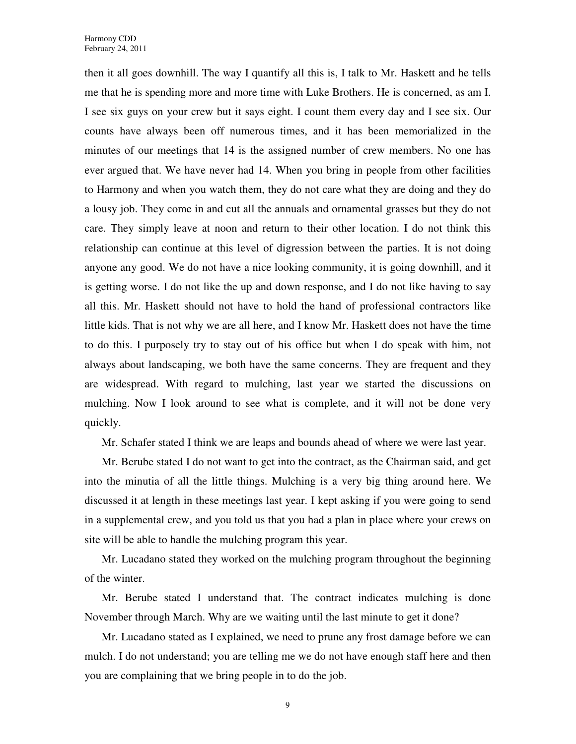then it all goes downhill. The way I quantify all this is, I talk to Mr. Haskett and he tells me that he is spending more and more time with Luke Brothers. He is concerned, as am I. I see six guys on your crew but it says eight. I count them every day and I see six. Our counts have always been off numerous times, and it has been memorialized in the minutes of our meetings that 14 is the assigned number of crew members. No one has ever argued that. We have never had 14. When you bring in people from other facilities to Harmony and when you watch them, they do not care what they are doing and they do a lousy job. They come in and cut all the annuals and ornamental grasses but they do not care. They simply leave at noon and return to their other location. I do not think this relationship can continue at this level of digression between the parties. It is not doing anyone any good. We do not have a nice looking community, it is going downhill, and it is getting worse. I do not like the up and down response, and I do not like having to say all this. Mr. Haskett should not have to hold the hand of professional contractors like little kids. That is not why we are all here, and I know Mr. Haskett does not have the time to do this. I purposely try to stay out of his office but when I do speak with him, not always about landscaping, we both have the same concerns. They are frequent and they are widespread. With regard to mulching, last year we started the discussions on mulching. Now I look around to see what is complete, and it will not be done very quickly.

Mr. Schafer stated I think we are leaps and bounds ahead of where we were last year.

Mr. Berube stated I do not want to get into the contract, as the Chairman said, and get into the minutia of all the little things. Mulching is a very big thing around here. We discussed it at length in these meetings last year. I kept asking if you were going to send in a supplemental crew, and you told us that you had a plan in place where your crews on site will be able to handle the mulching program this year.

Mr. Lucadano stated they worked on the mulching program throughout the beginning of the winter.

Mr. Berube stated I understand that. The contract indicates mulching is done November through March. Why are we waiting until the last minute to get it done?

Mr. Lucadano stated as I explained, we need to prune any frost damage before we can mulch. I do not understand; you are telling me we do not have enough staff here and then you are complaining that we bring people in to do the job.

9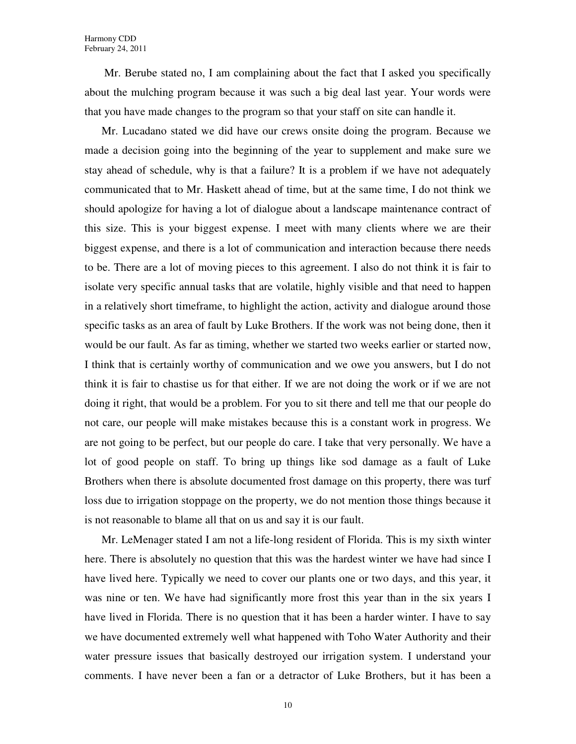Mr. Berube stated no, I am complaining about the fact that I asked you specifically about the mulching program because it was such a big deal last year. Your words were that you have made changes to the program so that your staff on site can handle it.

Mr. Lucadano stated we did have our crews onsite doing the program. Because we made a decision going into the beginning of the year to supplement and make sure we stay ahead of schedule, why is that a failure? It is a problem if we have not adequately communicated that to Mr. Haskett ahead of time, but at the same time, I do not think we should apologize for having a lot of dialogue about a landscape maintenance contract of this size. This is your biggest expense. I meet with many clients where we are their biggest expense, and there is a lot of communication and interaction because there needs to be. There are a lot of moving pieces to this agreement. I also do not think it is fair to isolate very specific annual tasks that are volatile, highly visible and that need to happen in a relatively short timeframe, to highlight the action, activity and dialogue around those specific tasks as an area of fault by Luke Brothers. If the work was not being done, then it would be our fault. As far as timing, whether we started two weeks earlier or started now, I think that is certainly worthy of communication and we owe you answers, but I do not think it is fair to chastise us for that either. If we are not doing the work or if we are not doing it right, that would be a problem. For you to sit there and tell me that our people do not care, our people will make mistakes because this is a constant work in progress. We are not going to be perfect, but our people do care. I take that very personally. We have a lot of good people on staff. To bring up things like sod damage as a fault of Luke Brothers when there is absolute documented frost damage on this property, there was turf loss due to irrigation stoppage on the property, we do not mention those things because it is not reasonable to blame all that on us and say it is our fault.

Mr. LeMenager stated I am not a life-long resident of Florida. This is my sixth winter here. There is absolutely no question that this was the hardest winter we have had since I have lived here. Typically we need to cover our plants one or two days, and this year, it was nine or ten. We have had significantly more frost this year than in the six years I have lived in Florida. There is no question that it has been a harder winter. I have to say we have documented extremely well what happened with Toho Water Authority and their water pressure issues that basically destroyed our irrigation system. I understand your comments. I have never been a fan or a detractor of Luke Brothers, but it has been a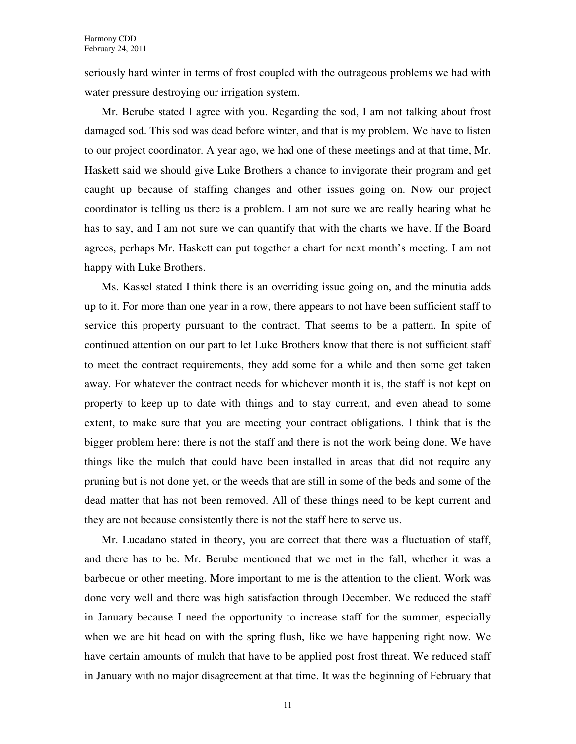seriously hard winter in terms of frost coupled with the outrageous problems we had with water pressure destroying our irrigation system.

Mr. Berube stated I agree with you. Regarding the sod, I am not talking about frost damaged sod. This sod was dead before winter, and that is my problem. We have to listen to our project coordinator. A year ago, we had one of these meetings and at that time, Mr. Haskett said we should give Luke Brothers a chance to invigorate their program and get caught up because of staffing changes and other issues going on. Now our project coordinator is telling us there is a problem. I am not sure we are really hearing what he has to say, and I am not sure we can quantify that with the charts we have. If the Board agrees, perhaps Mr. Haskett can put together a chart for next month's meeting. I am not happy with Luke Brothers.

Ms. Kassel stated I think there is an overriding issue going on, and the minutia adds up to it. For more than one year in a row, there appears to not have been sufficient staff to service this property pursuant to the contract. That seems to be a pattern. In spite of continued attention on our part to let Luke Brothers know that there is not sufficient staff to meet the contract requirements, they add some for a while and then some get taken away. For whatever the contract needs for whichever month it is, the staff is not kept on property to keep up to date with things and to stay current, and even ahead to some extent, to make sure that you are meeting your contract obligations. I think that is the bigger problem here: there is not the staff and there is not the work being done. We have things like the mulch that could have been installed in areas that did not require any pruning but is not done yet, or the weeds that are still in some of the beds and some of the dead matter that has not been removed. All of these things need to be kept current and they are not because consistently there is not the staff here to serve us.

Mr. Lucadano stated in theory, you are correct that there was a fluctuation of staff, and there has to be. Mr. Berube mentioned that we met in the fall, whether it was a barbecue or other meeting. More important to me is the attention to the client. Work was done very well and there was high satisfaction through December. We reduced the staff in January because I need the opportunity to increase staff for the summer, especially when we are hit head on with the spring flush, like we have happening right now. We have certain amounts of mulch that have to be applied post frost threat. We reduced staff in January with no major disagreement at that time. It was the beginning of February that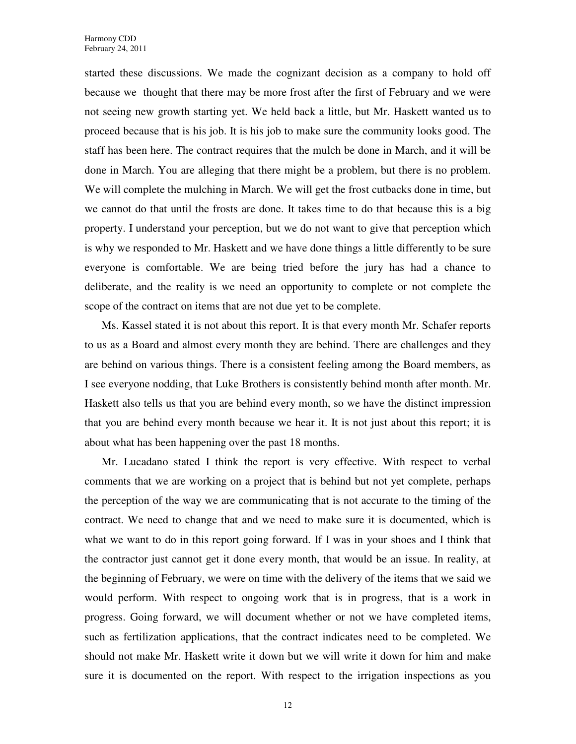started these discussions. We made the cognizant decision as a company to hold off because we thought that there may be more frost after the first of February and we were not seeing new growth starting yet. We held back a little, but Mr. Haskett wanted us to proceed because that is his job. It is his job to make sure the community looks good. The staff has been here. The contract requires that the mulch be done in March, and it will be done in March. You are alleging that there might be a problem, but there is no problem. We will complete the mulching in March. We will get the frost cutbacks done in time, but we cannot do that until the frosts are done. It takes time to do that because this is a big property. I understand your perception, but we do not want to give that perception which is why we responded to Mr. Haskett and we have done things a little differently to be sure everyone is comfortable. We are being tried before the jury has had a chance to deliberate, and the reality is we need an opportunity to complete or not complete the scope of the contract on items that are not due yet to be complete.

Ms. Kassel stated it is not about this report. It is that every month Mr. Schafer reports to us as a Board and almost every month they are behind. There are challenges and they are behind on various things. There is a consistent feeling among the Board members, as I see everyone nodding, that Luke Brothers is consistently behind month after month. Mr. Haskett also tells us that you are behind every month, so we have the distinct impression that you are behind every month because we hear it. It is not just about this report; it is about what has been happening over the past 18 months.

Mr. Lucadano stated I think the report is very effective. With respect to verbal comments that we are working on a project that is behind but not yet complete, perhaps the perception of the way we are communicating that is not accurate to the timing of the contract. We need to change that and we need to make sure it is documented, which is what we want to do in this report going forward. If I was in your shoes and I think that the contractor just cannot get it done every month, that would be an issue. In reality, at the beginning of February, we were on time with the delivery of the items that we said we would perform. With respect to ongoing work that is in progress, that is a work in progress. Going forward, we will document whether or not we have completed items, such as fertilization applications, that the contract indicates need to be completed. We should not make Mr. Haskett write it down but we will write it down for him and make sure it is documented on the report. With respect to the irrigation inspections as you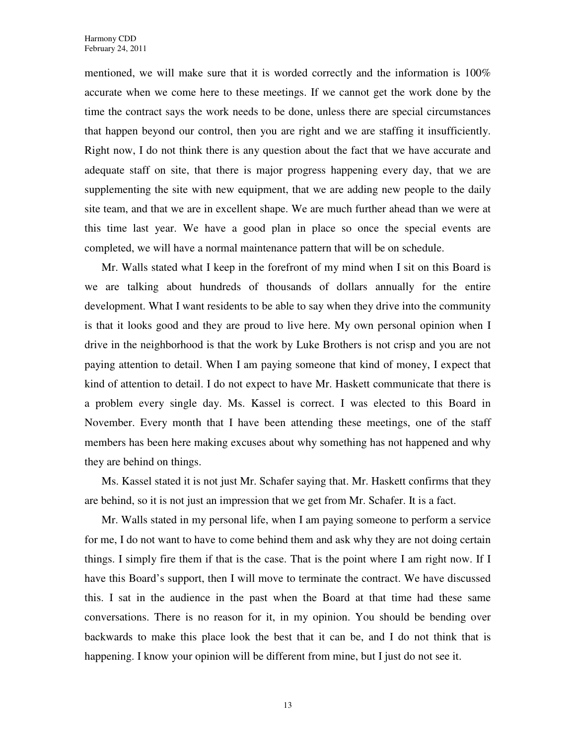mentioned, we will make sure that it is worded correctly and the information is 100% accurate when we come here to these meetings. If we cannot get the work done by the time the contract says the work needs to be done, unless there are special circumstances that happen beyond our control, then you are right and we are staffing it insufficiently. Right now, I do not think there is any question about the fact that we have accurate and adequate staff on site, that there is major progress happening every day, that we are supplementing the site with new equipment, that we are adding new people to the daily site team, and that we are in excellent shape. We are much further ahead than we were at this time last year. We have a good plan in place so once the special events are completed, we will have a normal maintenance pattern that will be on schedule.

Mr. Walls stated what I keep in the forefront of my mind when I sit on this Board is we are talking about hundreds of thousands of dollars annually for the entire development. What I want residents to be able to say when they drive into the community is that it looks good and they are proud to live here. My own personal opinion when I drive in the neighborhood is that the work by Luke Brothers is not crisp and you are not paying attention to detail. When I am paying someone that kind of money, I expect that kind of attention to detail. I do not expect to have Mr. Haskett communicate that there is a problem every single day. Ms. Kassel is correct. I was elected to this Board in November. Every month that I have been attending these meetings, one of the staff members has been here making excuses about why something has not happened and why they are behind on things.

Ms. Kassel stated it is not just Mr. Schafer saying that. Mr. Haskett confirms that they are behind, so it is not just an impression that we get from Mr. Schafer. It is a fact.

Mr. Walls stated in my personal life, when I am paying someone to perform a service for me, I do not want to have to come behind them and ask why they are not doing certain things. I simply fire them if that is the case. That is the point where I am right now. If I have this Board's support, then I will move to terminate the contract. We have discussed this. I sat in the audience in the past when the Board at that time had these same conversations. There is no reason for it, in my opinion. You should be bending over backwards to make this place look the best that it can be, and I do not think that is happening. I know your opinion will be different from mine, but I just do not see it.

13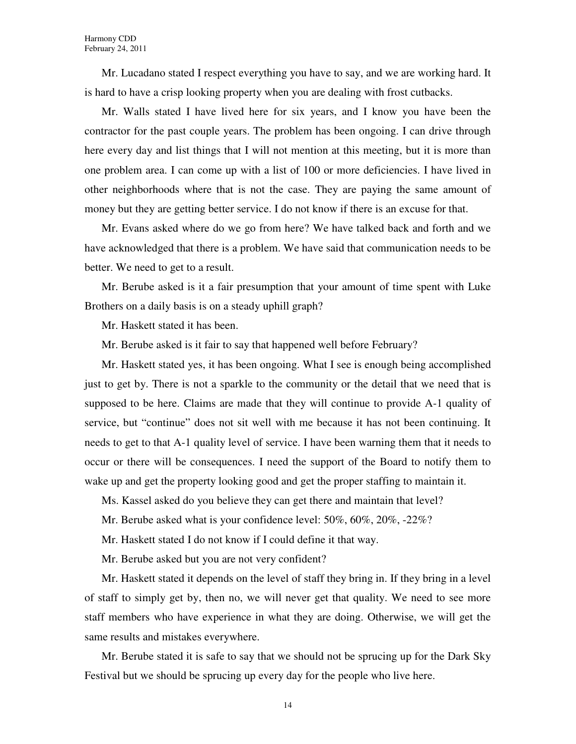Mr. Lucadano stated I respect everything you have to say, and we are working hard. It is hard to have a crisp looking property when you are dealing with frost cutbacks.

Mr. Walls stated I have lived here for six years, and I know you have been the contractor for the past couple years. The problem has been ongoing. I can drive through here every day and list things that I will not mention at this meeting, but it is more than one problem area. I can come up with a list of 100 or more deficiencies. I have lived in other neighborhoods where that is not the case. They are paying the same amount of money but they are getting better service. I do not know if there is an excuse for that.

Mr. Evans asked where do we go from here? We have talked back and forth and we have acknowledged that there is a problem. We have said that communication needs to be better. We need to get to a result.

Mr. Berube asked is it a fair presumption that your amount of time spent with Luke Brothers on a daily basis is on a steady uphill graph?

Mr. Haskett stated it has been.

Mr. Berube asked is it fair to say that happened well before February?

Mr. Haskett stated yes, it has been ongoing. What I see is enough being accomplished just to get by. There is not a sparkle to the community or the detail that we need that is supposed to be here. Claims are made that they will continue to provide A-1 quality of service, but "continue" does not sit well with me because it has not been continuing. It needs to get to that A-1 quality level of service. I have been warning them that it needs to occur or there will be consequences. I need the support of the Board to notify them to wake up and get the property looking good and get the proper staffing to maintain it.

Ms. Kassel asked do you believe they can get there and maintain that level?

Mr. Berube asked what is your confidence level: 50%, 60%, 20%, -22%?

Mr. Haskett stated I do not know if I could define it that way.

Mr. Berube asked but you are not very confident?

Mr. Haskett stated it depends on the level of staff they bring in. If they bring in a level of staff to simply get by, then no, we will never get that quality. We need to see more staff members who have experience in what they are doing. Otherwise, we will get the same results and mistakes everywhere.

Mr. Berube stated it is safe to say that we should not be sprucing up for the Dark Sky Festival but we should be sprucing up every day for the people who live here.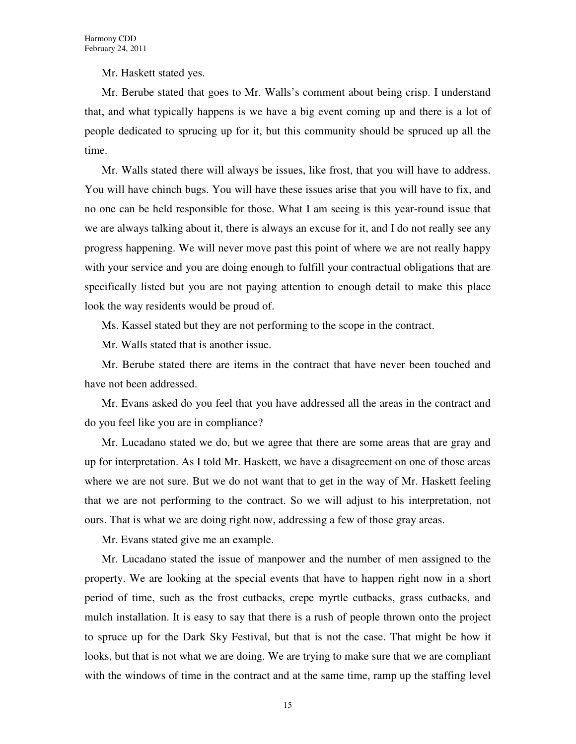Mr. Haskett stated yes.

Mr. Berube stated that goes to Mr. Walls's comment about being crisp. I understand that, and what typically happens is we have a big event coming up and there is a lot of people dedicated to sprucing up for it, but this community should be spruced up all the time.

Mr. Walls stated there will always be issues, like frost, that you will have to address. You will have chinch bugs. You will have these issues arise that you will have to fix, and no one can be held responsible for those. What I am seeing is this year-round issue that we are always talking about it, there is always an excuse for it, and I do not really see any progress happening. We will never move past this point of where we are not really happy with your service and you are doing enough to fulfill your contractual obligations that are specifically listed but you are not paying attention to enough detail to make this place look the way residents would be proud of.

Ms. Kassel stated but they are not performing to the scope in the contract.

Mr. Walls stated that is another issue.

Mr. Berube stated there are items in the contract that have never been touched and have not been addressed.

Mr. Evans asked do you feel that you have addressed all the areas in the contract and do you feel like you are in compliance?

Mr. Lucadano stated we do, but we agree that there are some areas that are gray and up for interpretation. As I told Mr. Haskett, we have a disagreement on one of those areas where we are not sure. But we do not want that to get in the way of Mr. Haskett feeling that we are not performing to the contract. So we will adjust to his interpretation, not ours. That is what we are doing right now, addressing a few of those gray areas.

Mr. Evans stated give me an example.

Mr. Lucadano stated the issue of manpower and the number of men assigned to the property. We are looking at the special events that have to happen right now in a short period of time, such as the frost cutbacks, crepe myrtle cutbacks, grass cutbacks, and mulch installation. It is easy to say that there is a rush of people thrown onto the project to spruce up for the Dark Sky Festival, but that is not the case. That might be how it looks, but that is not what we are doing. We are trying to make sure that we are compliant with the windows of time in the contract and at the same time, ramp up the staffing level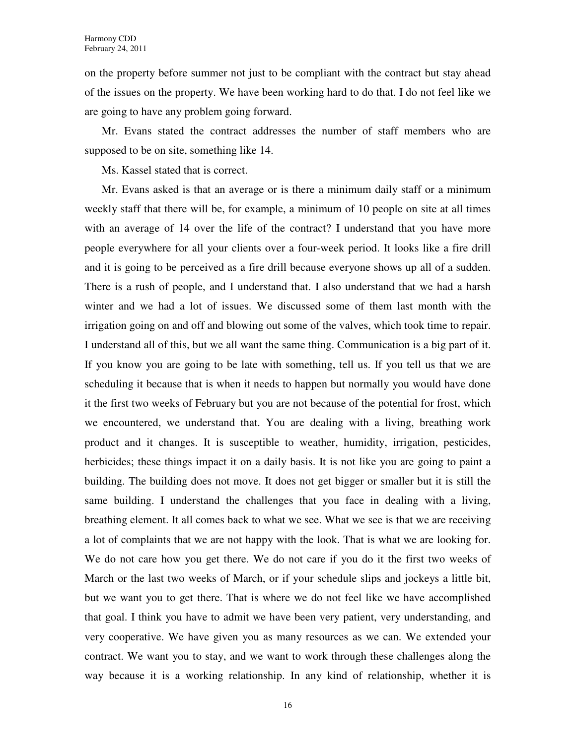on the property before summer not just to be compliant with the contract but stay ahead of the issues on the property. We have been working hard to do that. I do not feel like we are going to have any problem going forward.

Mr. Evans stated the contract addresses the number of staff members who are supposed to be on site, something like 14.

Ms. Kassel stated that is correct.

Mr. Evans asked is that an average or is there a minimum daily staff or a minimum weekly staff that there will be, for example, a minimum of 10 people on site at all times with an average of 14 over the life of the contract? I understand that you have more people everywhere for all your clients over a four-week period. It looks like a fire drill and it is going to be perceived as a fire drill because everyone shows up all of a sudden. There is a rush of people, and I understand that. I also understand that we had a harsh winter and we had a lot of issues. We discussed some of them last month with the irrigation going on and off and blowing out some of the valves, which took time to repair. I understand all of this, but we all want the same thing. Communication is a big part of it. If you know you are going to be late with something, tell us. If you tell us that we are scheduling it because that is when it needs to happen but normally you would have done it the first two weeks of February but you are not because of the potential for frost, which we encountered, we understand that. You are dealing with a living, breathing work product and it changes. It is susceptible to weather, humidity, irrigation, pesticides, herbicides; these things impact it on a daily basis. It is not like you are going to paint a building. The building does not move. It does not get bigger or smaller but it is still the same building. I understand the challenges that you face in dealing with a living, breathing element. It all comes back to what we see. What we see is that we are receiving a lot of complaints that we are not happy with the look. That is what we are looking for. We do not care how you get there. We do not care if you do it the first two weeks of March or the last two weeks of March, or if your schedule slips and jockeys a little bit, but we want you to get there. That is where we do not feel like we have accomplished that goal. I think you have to admit we have been very patient, very understanding, and very cooperative. We have given you as many resources as we can. We extended your contract. We want you to stay, and we want to work through these challenges along the way because it is a working relationship. In any kind of relationship, whether it is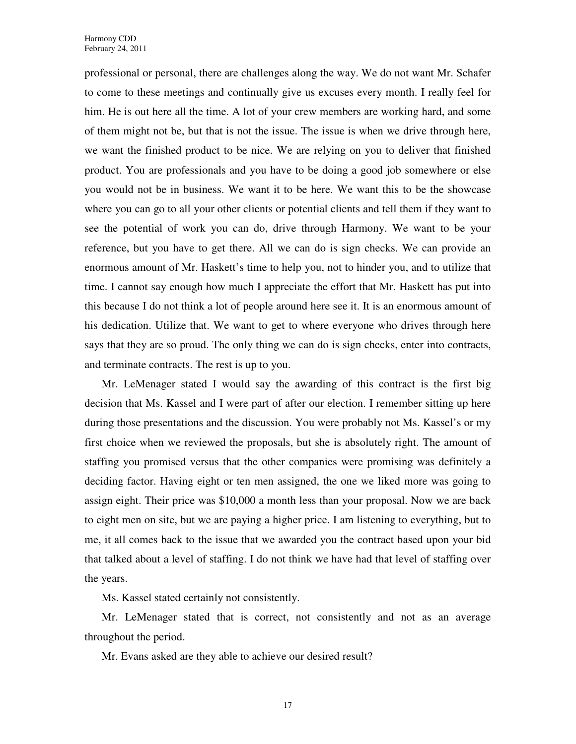professional or personal, there are challenges along the way. We do not want Mr. Schafer to come to these meetings and continually give us excuses every month. I really feel for him. He is out here all the time. A lot of your crew members are working hard, and some of them might not be, but that is not the issue. The issue is when we drive through here, we want the finished product to be nice. We are relying on you to deliver that finished product. You are professionals and you have to be doing a good job somewhere or else you would not be in business. We want it to be here. We want this to be the showcase where you can go to all your other clients or potential clients and tell them if they want to see the potential of work you can do, drive through Harmony. We want to be your reference, but you have to get there. All we can do is sign checks. We can provide an enormous amount of Mr. Haskett's time to help you, not to hinder you, and to utilize that time. I cannot say enough how much I appreciate the effort that Mr. Haskett has put into this because I do not think a lot of people around here see it. It is an enormous amount of his dedication. Utilize that. We want to get to where everyone who drives through here says that they are so proud. The only thing we can do is sign checks, enter into contracts, and terminate contracts. The rest is up to you.

Mr. LeMenager stated I would say the awarding of this contract is the first big decision that Ms. Kassel and I were part of after our election. I remember sitting up here during those presentations and the discussion. You were probably not Ms. Kassel's or my first choice when we reviewed the proposals, but she is absolutely right. The amount of staffing you promised versus that the other companies were promising was definitely a deciding factor. Having eight or ten men assigned, the one we liked more was going to assign eight. Their price was \$10,000 a month less than your proposal. Now we are back to eight men on site, but we are paying a higher price. I am listening to everything, but to me, it all comes back to the issue that we awarded you the contract based upon your bid that talked about a level of staffing. I do not think we have had that level of staffing over the years.

Ms. Kassel stated certainly not consistently.

Mr. LeMenager stated that is correct, not consistently and not as an average throughout the period.

Mr. Evans asked are they able to achieve our desired result?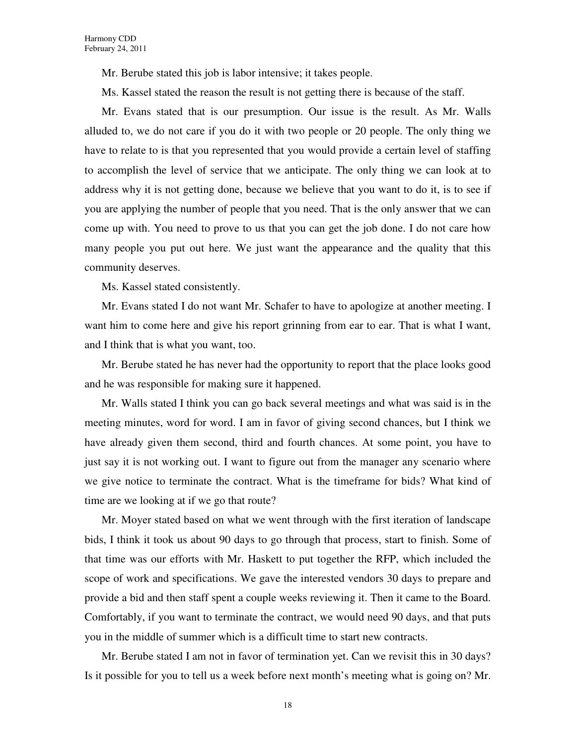Mr. Berube stated this job is labor intensive; it takes people.

Ms. Kassel stated the reason the result is not getting there is because of the staff.

Mr. Evans stated that is our presumption. Our issue is the result. As Mr. Walls alluded to, we do not care if you do it with two people or 20 people. The only thing we have to relate to is that you represented that you would provide a certain level of staffing to accomplish the level of service that we anticipate. The only thing we can look at to address why it is not getting done, because we believe that you want to do it, is to see if you are applying the number of people that you need. That is the only answer that we can come up with. You need to prove to us that you can get the job done. I do not care how many people you put out here. We just want the appearance and the quality that this community deserves.

Ms. Kassel stated consistently.

Mr. Evans stated I do not want Mr. Schafer to have to apologize at another meeting. I want him to come here and give his report grinning from ear to ear. That is what I want, and I think that is what you want, too.

Mr. Berube stated he has never had the opportunity to report that the place looks good and he was responsible for making sure it happened.

Mr. Walls stated I think you can go back several meetings and what was said is in the meeting minutes, word for word. I am in favor of giving second chances, but I think we have already given them second, third and fourth chances. At some point, you have to just say it is not working out. I want to figure out from the manager any scenario where we give notice to terminate the contract. What is the timeframe for bids? What kind of time are we looking at if we go that route?

Mr. Moyer stated based on what we went through with the first iteration of landscape bids, I think it took us about 90 days to go through that process, start to finish. Some of that time was our efforts with Mr. Haskett to put together the RFP, which included the scope of work and specifications. We gave the interested vendors 30 days to prepare and provide a bid and then staff spent a couple weeks reviewing it. Then it came to the Board. Comfortably, if you want to terminate the contract, we would need 90 days, and that puts you in the middle of summer which is a difficult time to start new contracts.

Mr. Berube stated I am not in favor of termination yet. Can we revisit this in 30 days? Is it possible for you to tell us a week before next month's meeting what is going on? Mr.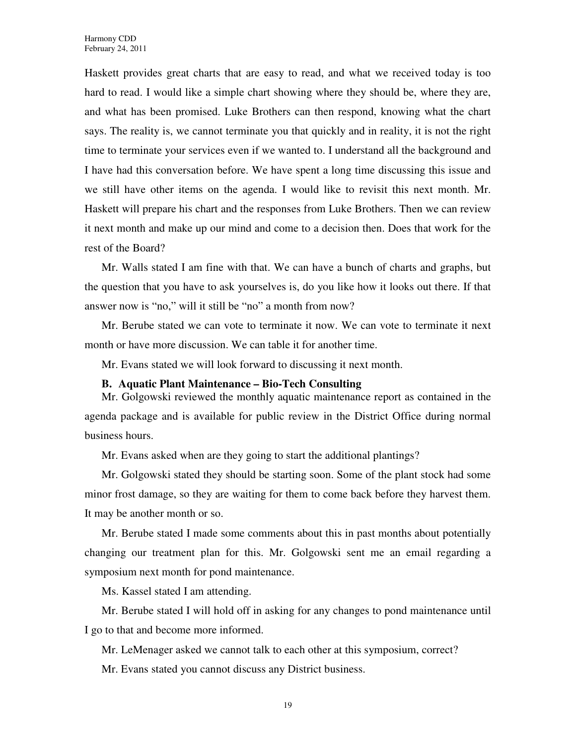Haskett provides great charts that are easy to read, and what we received today is too hard to read. I would like a simple chart showing where they should be, where they are, and what has been promised. Luke Brothers can then respond, knowing what the chart says. The reality is, we cannot terminate you that quickly and in reality, it is not the right time to terminate your services even if we wanted to. I understand all the background and I have had this conversation before. We have spent a long time discussing this issue and we still have other items on the agenda. I would like to revisit this next month. Mr. Haskett will prepare his chart and the responses from Luke Brothers. Then we can review it next month and make up our mind and come to a decision then. Does that work for the rest of the Board?

Mr. Walls stated I am fine with that. We can have a bunch of charts and graphs, but the question that you have to ask yourselves is, do you like how it looks out there. If that answer now is "no," will it still be "no" a month from now?

Mr. Berube stated we can vote to terminate it now. We can vote to terminate it next month or have more discussion. We can table it for another time.

Mr. Evans stated we will look forward to discussing it next month.

#### **B. Aquatic Plant Maintenance – Bio-Tech Consulting**

Mr. Golgowski reviewed the monthly aquatic maintenance report as contained in the agenda package and is available for public review in the District Office during normal business hours.

Mr. Evans asked when are they going to start the additional plantings?

Mr. Golgowski stated they should be starting soon. Some of the plant stock had some minor frost damage, so they are waiting for them to come back before they harvest them. It may be another month or so.

Mr. Berube stated I made some comments about this in past months about potentially changing our treatment plan for this. Mr. Golgowski sent me an email regarding a symposium next month for pond maintenance.

Ms. Kassel stated I am attending.

Mr. Berube stated I will hold off in asking for any changes to pond maintenance until I go to that and become more informed.

Mr. LeMenager asked we cannot talk to each other at this symposium, correct?

Mr. Evans stated you cannot discuss any District business.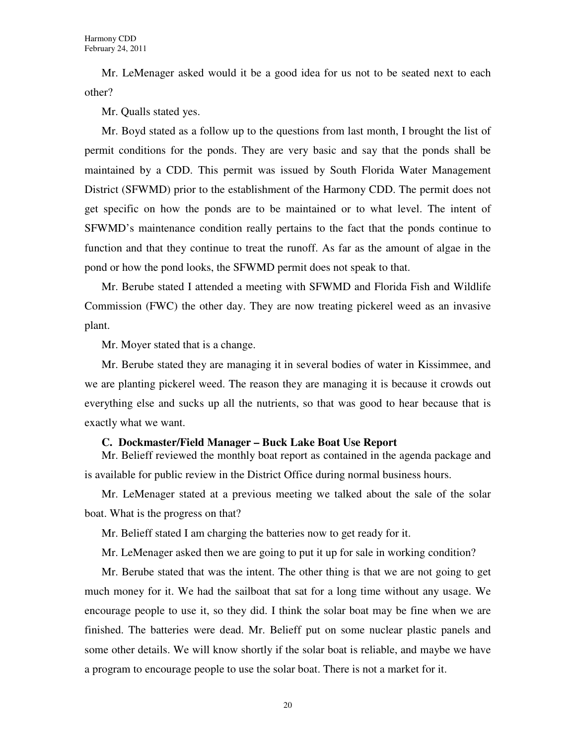Mr. LeMenager asked would it be a good idea for us not to be seated next to each other?

Mr. Qualls stated yes.

Mr. Boyd stated as a follow up to the questions from last month, I brought the list of permit conditions for the ponds. They are very basic and say that the ponds shall be maintained by a CDD. This permit was issued by South Florida Water Management District (SFWMD) prior to the establishment of the Harmony CDD. The permit does not get specific on how the ponds are to be maintained or to what level. The intent of SFWMD's maintenance condition really pertains to the fact that the ponds continue to function and that they continue to treat the runoff. As far as the amount of algae in the pond or how the pond looks, the SFWMD permit does not speak to that.

Mr. Berube stated I attended a meeting with SFWMD and Florida Fish and Wildlife Commission (FWC) the other day. They are now treating pickerel weed as an invasive plant.

Mr. Moyer stated that is a change.

Mr. Berube stated they are managing it in several bodies of water in Kissimmee, and we are planting pickerel weed. The reason they are managing it is because it crowds out everything else and sucks up all the nutrients, so that was good to hear because that is exactly what we want.

#### **C. Dockmaster/Field Manager – Buck Lake Boat Use Report**

Mr. Belieff reviewed the monthly boat report as contained in the agenda package and is available for public review in the District Office during normal business hours.

Mr. LeMenager stated at a previous meeting we talked about the sale of the solar boat. What is the progress on that?

Mr. Belieff stated I am charging the batteries now to get ready for it.

Mr. LeMenager asked then we are going to put it up for sale in working condition?

Mr. Berube stated that was the intent. The other thing is that we are not going to get much money for it. We had the sailboat that sat for a long time without any usage. We encourage people to use it, so they did. I think the solar boat may be fine when we are finished. The batteries were dead. Mr. Belieff put on some nuclear plastic panels and some other details. We will know shortly if the solar boat is reliable, and maybe we have a program to encourage people to use the solar boat. There is not a market for it.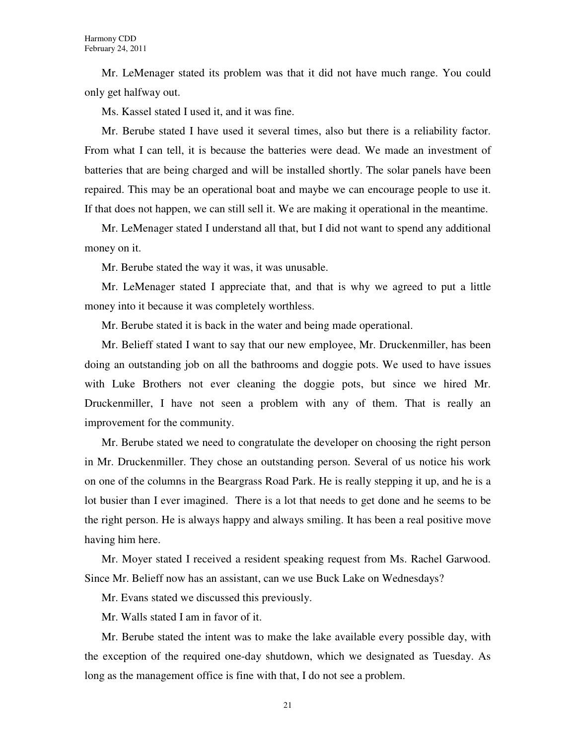Mr. LeMenager stated its problem was that it did not have much range. You could only get halfway out.

Ms. Kassel stated I used it, and it was fine.

Mr. Berube stated I have used it several times, also but there is a reliability factor. From what I can tell, it is because the batteries were dead. We made an investment of batteries that are being charged and will be installed shortly. The solar panels have been repaired. This may be an operational boat and maybe we can encourage people to use it. If that does not happen, we can still sell it. We are making it operational in the meantime.

Mr. LeMenager stated I understand all that, but I did not want to spend any additional money on it.

Mr. Berube stated the way it was, it was unusable.

Mr. LeMenager stated I appreciate that, and that is why we agreed to put a little money into it because it was completely worthless.

Mr. Berube stated it is back in the water and being made operational.

Mr. Belieff stated I want to say that our new employee, Mr. Druckenmiller, has been doing an outstanding job on all the bathrooms and doggie pots. We used to have issues with Luke Brothers not ever cleaning the doggie pots, but since we hired Mr. Druckenmiller, I have not seen a problem with any of them. That is really an improvement for the community.

Mr. Berube stated we need to congratulate the developer on choosing the right person in Mr. Druckenmiller. They chose an outstanding person. Several of us notice his work on one of the columns in the Beargrass Road Park. He is really stepping it up, and he is a lot busier than I ever imagined. There is a lot that needs to get done and he seems to be the right person. He is always happy and always smiling. It has been a real positive move having him here.

Mr. Moyer stated I received a resident speaking request from Ms. Rachel Garwood. Since Mr. Belieff now has an assistant, can we use Buck Lake on Wednesdays?

Mr. Evans stated we discussed this previously.

Mr. Walls stated I am in favor of it.

Mr. Berube stated the intent was to make the lake available every possible day, with the exception of the required one-day shutdown, which we designated as Tuesday. As long as the management office is fine with that, I do not see a problem.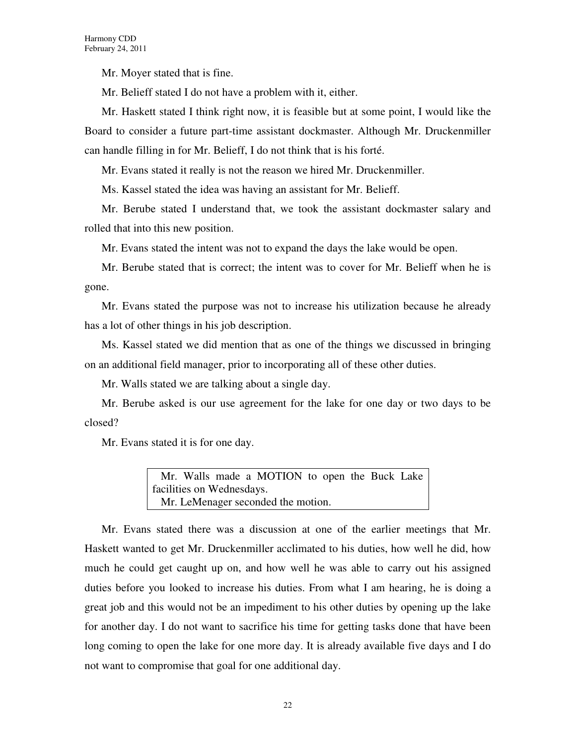Mr. Moyer stated that is fine.

Mr. Belieff stated I do not have a problem with it, either.

Mr. Haskett stated I think right now, it is feasible but at some point, I would like the Board to consider a future part-time assistant dockmaster. Although Mr. Druckenmiller can handle filling in for Mr. Belieff, I do not think that is his forté.

Mr. Evans stated it really is not the reason we hired Mr. Druckenmiller.

Ms. Kassel stated the idea was having an assistant for Mr. Belieff.

Mr. Berube stated I understand that, we took the assistant dockmaster salary and rolled that into this new position.

Mr. Evans stated the intent was not to expand the days the lake would be open.

Mr. Berube stated that is correct; the intent was to cover for Mr. Belieff when he is gone.

Mr. Evans stated the purpose was not to increase his utilization because he already has a lot of other things in his job description.

Ms. Kassel stated we did mention that as one of the things we discussed in bringing on an additional field manager, prior to incorporating all of these other duties.

Mr. Walls stated we are talking about a single day.

Mr. Berube asked is our use agreement for the lake for one day or two days to be closed?

Mr. Evans stated it is for one day.

Mr. Walls made a MOTION to open the Buck Lake facilities on Wednesdays. Mr. LeMenager seconded the motion.

Mr. Evans stated there was a discussion at one of the earlier meetings that Mr. Haskett wanted to get Mr. Druckenmiller acclimated to his duties, how well he did, how much he could get caught up on, and how well he was able to carry out his assigned duties before you looked to increase his duties. From what I am hearing, he is doing a great job and this would not be an impediment to his other duties by opening up the lake for another day. I do not want to sacrifice his time for getting tasks done that have been long coming to open the lake for one more day. It is already available five days and I do not want to compromise that goal for one additional day.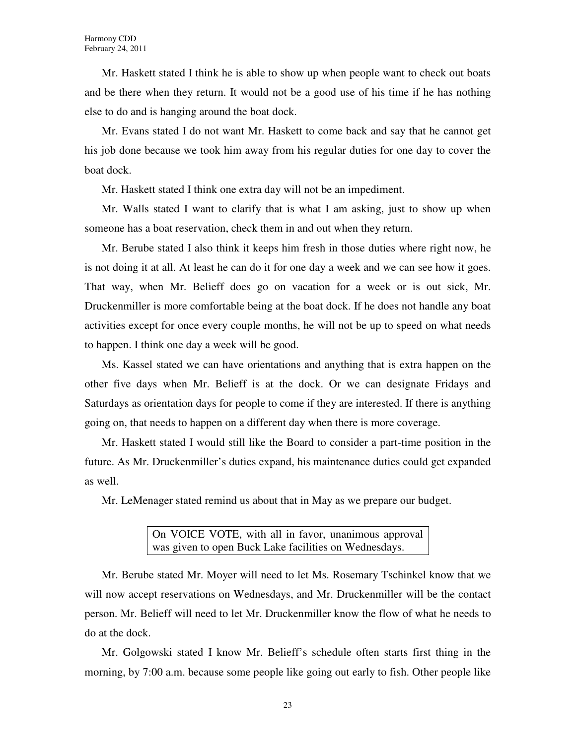Mr. Haskett stated I think he is able to show up when people want to check out boats and be there when they return. It would not be a good use of his time if he has nothing else to do and is hanging around the boat dock.

Mr. Evans stated I do not want Mr. Haskett to come back and say that he cannot get his job done because we took him away from his regular duties for one day to cover the boat dock.

Mr. Haskett stated I think one extra day will not be an impediment.

Mr. Walls stated I want to clarify that is what I am asking, just to show up when someone has a boat reservation, check them in and out when they return.

Mr. Berube stated I also think it keeps him fresh in those duties where right now, he is not doing it at all. At least he can do it for one day a week and we can see how it goes. That way, when Mr. Belieff does go on vacation for a week or is out sick, Mr. Druckenmiller is more comfortable being at the boat dock. If he does not handle any boat activities except for once every couple months, he will not be up to speed on what needs to happen. I think one day a week will be good.

Ms. Kassel stated we can have orientations and anything that is extra happen on the other five days when Mr. Belieff is at the dock. Or we can designate Fridays and Saturdays as orientation days for people to come if they are interested. If there is anything going on, that needs to happen on a different day when there is more coverage.

Mr. Haskett stated I would still like the Board to consider a part-time position in the future. As Mr. Druckenmiller's duties expand, his maintenance duties could get expanded as well.

Mr. LeMenager stated remind us about that in May as we prepare our budget.

On VOICE VOTE, with all in favor, unanimous approval was given to open Buck Lake facilities on Wednesdays.

Mr. Berube stated Mr. Moyer will need to let Ms. Rosemary Tschinkel know that we will now accept reservations on Wednesdays, and Mr. Druckenmiller will be the contact person. Mr. Belieff will need to let Mr. Druckenmiller know the flow of what he needs to do at the dock.

Mr. Golgowski stated I know Mr. Belieff's schedule often starts first thing in the morning, by 7:00 a.m. because some people like going out early to fish. Other people like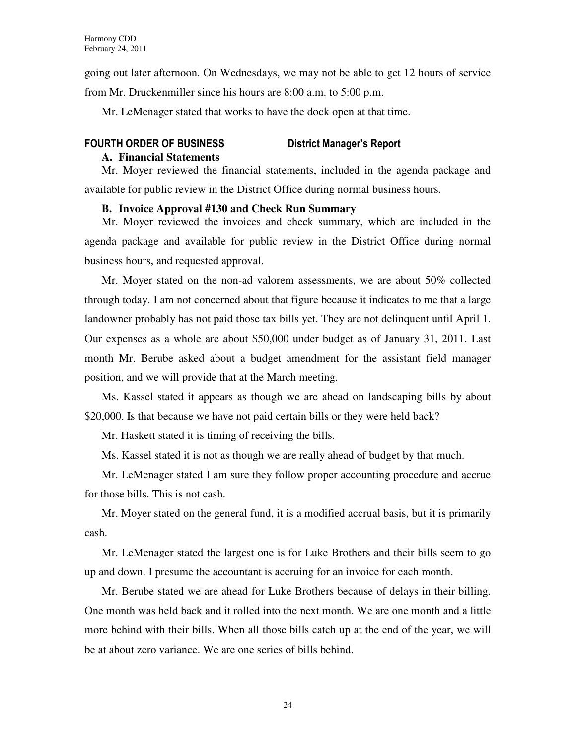going out later afternoon. On Wednesdays, we may not be able to get 12 hours of service from Mr. Druckenmiller since his hours are 8:00 a.m. to 5:00 p.m.

Mr. LeMenager stated that works to have the dock open at that time.

# FOURTH ORDER OF BUSINESS District Manager's Report

#### **A. Financial Statements**

Mr. Moyer reviewed the financial statements, included in the agenda package and available for public review in the District Office during normal business hours.

### **B. Invoice Approval #130 and Check Run Summary**

Mr. Moyer reviewed the invoices and check summary, which are included in the agenda package and available for public review in the District Office during normal business hours, and requested approval.

Mr. Moyer stated on the non-ad valorem assessments, we are about 50% collected through today. I am not concerned about that figure because it indicates to me that a large landowner probably has not paid those tax bills yet. They are not delinquent until April 1. Our expenses as a whole are about \$50,000 under budget as of January 31, 2011. Last month Mr. Berube asked about a budget amendment for the assistant field manager position, and we will provide that at the March meeting.

Ms. Kassel stated it appears as though we are ahead on landscaping bills by about \$20,000. Is that because we have not paid certain bills or they were held back?

Mr. Haskett stated it is timing of receiving the bills.

Ms. Kassel stated it is not as though we are really ahead of budget by that much.

Mr. LeMenager stated I am sure they follow proper accounting procedure and accrue for those bills. This is not cash.

Mr. Moyer stated on the general fund, it is a modified accrual basis, but it is primarily cash.

Mr. LeMenager stated the largest one is for Luke Brothers and their bills seem to go up and down. I presume the accountant is accruing for an invoice for each month.

Mr. Berube stated we are ahead for Luke Brothers because of delays in their billing. One month was held back and it rolled into the next month. We are one month and a little more behind with their bills. When all those bills catch up at the end of the year, we will be at about zero variance. We are one series of bills behind.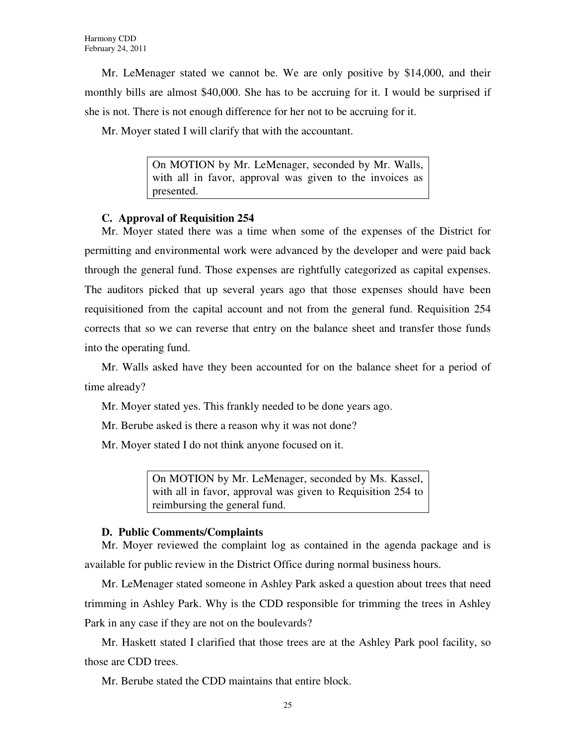Mr. LeMenager stated we cannot be. We are only positive by \$14,000, and their monthly bills are almost \$40,000. She has to be accruing for it. I would be surprised if she is not. There is not enough difference for her not to be accruing for it.

Mr. Moyer stated I will clarify that with the accountant.

On MOTION by Mr. LeMenager, seconded by Mr. Walls, with all in favor, approval was given to the invoices as presented.

### **C. Approval of Requisition 254**

Mr. Moyer stated there was a time when some of the expenses of the District for permitting and environmental work were advanced by the developer and were paid back through the general fund. Those expenses are rightfully categorized as capital expenses. The auditors picked that up several years ago that those expenses should have been requisitioned from the capital account and not from the general fund. Requisition 254 corrects that so we can reverse that entry on the balance sheet and transfer those funds into the operating fund.

Mr. Walls asked have they been accounted for on the balance sheet for a period of time already?

Mr. Moyer stated yes. This frankly needed to be done years ago.

Mr. Berube asked is there a reason why it was not done?

Mr. Moyer stated I do not think anyone focused on it.

On MOTION by Mr. LeMenager, seconded by Ms. Kassel, with all in favor, approval was given to Requisition 254 to reimbursing the general fund.

### **D. Public Comments/Complaints**

Mr. Moyer reviewed the complaint log as contained in the agenda package and is available for public review in the District Office during normal business hours.

Mr. LeMenager stated someone in Ashley Park asked a question about trees that need trimming in Ashley Park. Why is the CDD responsible for trimming the trees in Ashley Park in any case if they are not on the boulevards?

Mr. Haskett stated I clarified that those trees are at the Ashley Park pool facility, so those are CDD trees.

Mr. Berube stated the CDD maintains that entire block.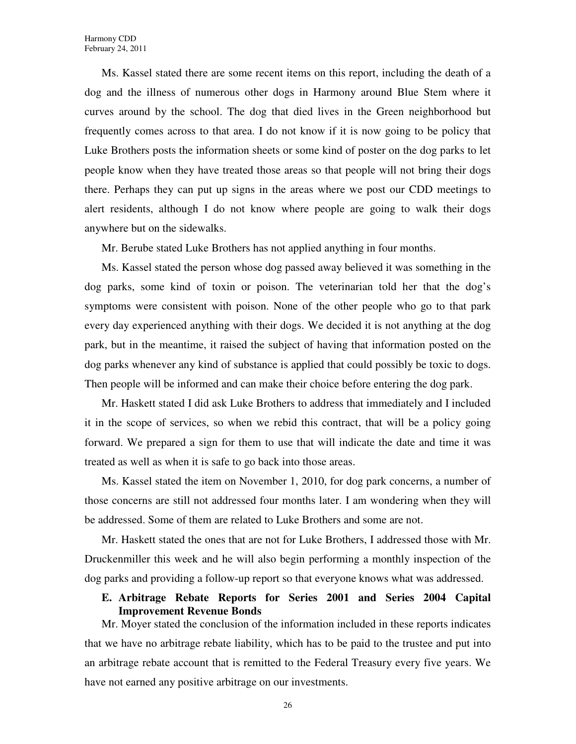Ms. Kassel stated there are some recent items on this report, including the death of a dog and the illness of numerous other dogs in Harmony around Blue Stem where it curves around by the school. The dog that died lives in the Green neighborhood but frequently comes across to that area. I do not know if it is now going to be policy that Luke Brothers posts the information sheets or some kind of poster on the dog parks to let people know when they have treated those areas so that people will not bring their dogs there. Perhaps they can put up signs in the areas where we post our CDD meetings to alert residents, although I do not know where people are going to walk their dogs anywhere but on the sidewalks.

Mr. Berube stated Luke Brothers has not applied anything in four months.

Ms. Kassel stated the person whose dog passed away believed it was something in the dog parks, some kind of toxin or poison. The veterinarian told her that the dog's symptoms were consistent with poison. None of the other people who go to that park every day experienced anything with their dogs. We decided it is not anything at the dog park, but in the meantime, it raised the subject of having that information posted on the dog parks whenever any kind of substance is applied that could possibly be toxic to dogs. Then people will be informed and can make their choice before entering the dog park.

Mr. Haskett stated I did ask Luke Brothers to address that immediately and I included it in the scope of services, so when we rebid this contract, that will be a policy going forward. We prepared a sign for them to use that will indicate the date and time it was treated as well as when it is safe to go back into those areas.

Ms. Kassel stated the item on November 1, 2010, for dog park concerns, a number of those concerns are still not addressed four months later. I am wondering when they will be addressed. Some of them are related to Luke Brothers and some are not.

Mr. Haskett stated the ones that are not for Luke Brothers, I addressed those with Mr. Druckenmiller this week and he will also begin performing a monthly inspection of the dog parks and providing a follow-up report so that everyone knows what was addressed.

#### **E. Arbitrage Rebate Reports for Series 2001 and Series 2004 Capital Improvement Revenue Bonds**

Mr. Moyer stated the conclusion of the information included in these reports indicates that we have no arbitrage rebate liability, which has to be paid to the trustee and put into an arbitrage rebate account that is remitted to the Federal Treasury every five years. We have not earned any positive arbitrage on our investments.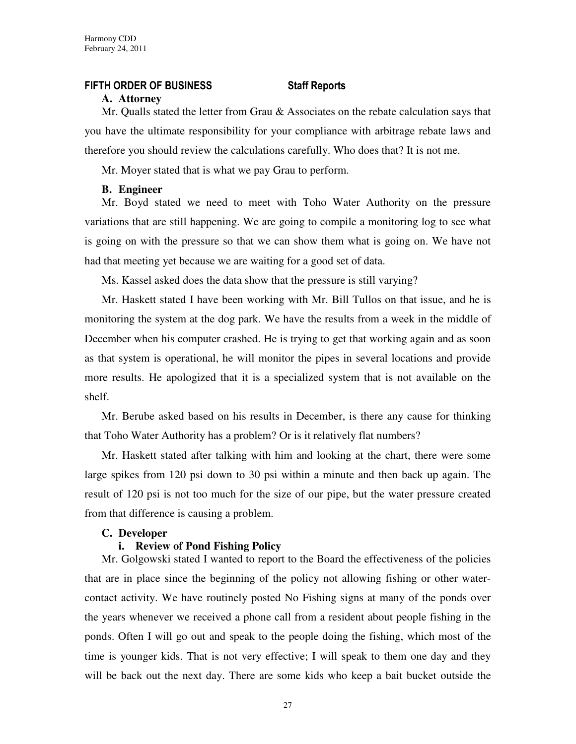#### FIFTH ORDER OF BUSINESS Staff Reports

#### **A. Attorney**

Mr. Qualls stated the letter from Grau & Associates on the rebate calculation says that you have the ultimate responsibility for your compliance with arbitrage rebate laws and therefore you should review the calculations carefully. Who does that? It is not me.

Mr. Moyer stated that is what we pay Grau to perform.

#### **B. Engineer**

Mr. Boyd stated we need to meet with Toho Water Authority on the pressure variations that are still happening. We are going to compile a monitoring log to see what is going on with the pressure so that we can show them what is going on. We have not had that meeting yet because we are waiting for a good set of data.

Ms. Kassel asked does the data show that the pressure is still varying?

Mr. Haskett stated I have been working with Mr. Bill Tullos on that issue, and he is monitoring the system at the dog park. We have the results from a week in the middle of December when his computer crashed. He is trying to get that working again and as soon as that system is operational, he will monitor the pipes in several locations and provide more results. He apologized that it is a specialized system that is not available on the shelf.

Mr. Berube asked based on his results in December, is there any cause for thinking that Toho Water Authority has a problem? Or is it relatively flat numbers?

Mr. Haskett stated after talking with him and looking at the chart, there were some large spikes from 120 psi down to 30 psi within a minute and then back up again. The result of 120 psi is not too much for the size of our pipe, but the water pressure created from that difference is causing a problem.

#### **C. Developer**

#### **i. Review of Pond Fishing Policy**

Mr. Golgowski stated I wanted to report to the Board the effectiveness of the policies that are in place since the beginning of the policy not allowing fishing or other watercontact activity. We have routinely posted No Fishing signs at many of the ponds over the years whenever we received a phone call from a resident about people fishing in the ponds. Often I will go out and speak to the people doing the fishing, which most of the time is younger kids. That is not very effective; I will speak to them one day and they will be back out the next day. There are some kids who keep a bait bucket outside the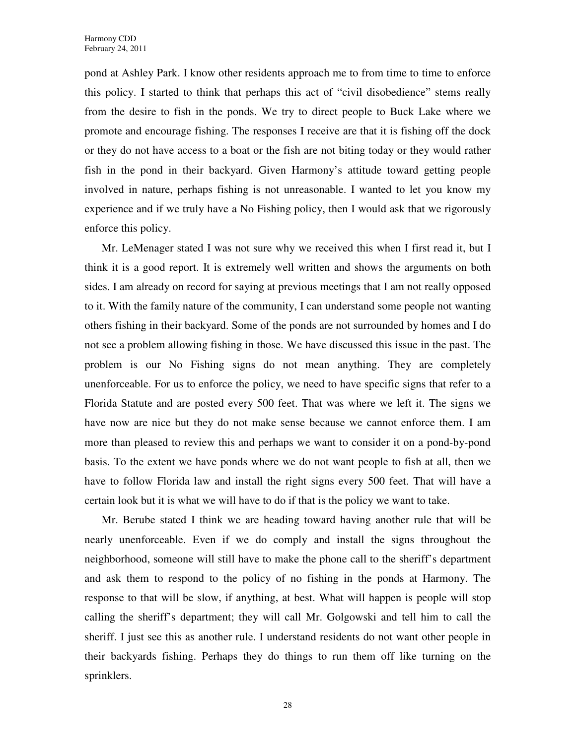pond at Ashley Park. I know other residents approach me to from time to time to enforce this policy. I started to think that perhaps this act of "civil disobedience" stems really from the desire to fish in the ponds. We try to direct people to Buck Lake where we promote and encourage fishing. The responses I receive are that it is fishing off the dock or they do not have access to a boat or the fish are not biting today or they would rather fish in the pond in their backyard. Given Harmony's attitude toward getting people involved in nature, perhaps fishing is not unreasonable. I wanted to let you know my experience and if we truly have a No Fishing policy, then I would ask that we rigorously enforce this policy.

Mr. LeMenager stated I was not sure why we received this when I first read it, but I think it is a good report. It is extremely well written and shows the arguments on both sides. I am already on record for saying at previous meetings that I am not really opposed to it. With the family nature of the community, I can understand some people not wanting others fishing in their backyard. Some of the ponds are not surrounded by homes and I do not see a problem allowing fishing in those. We have discussed this issue in the past. The problem is our No Fishing signs do not mean anything. They are completely unenforceable. For us to enforce the policy, we need to have specific signs that refer to a Florida Statute and are posted every 500 feet. That was where we left it. The signs we have now are nice but they do not make sense because we cannot enforce them. I am more than pleased to review this and perhaps we want to consider it on a pond-by-pond basis. To the extent we have ponds where we do not want people to fish at all, then we have to follow Florida law and install the right signs every 500 feet. That will have a certain look but it is what we will have to do if that is the policy we want to take.

Mr. Berube stated I think we are heading toward having another rule that will be nearly unenforceable. Even if we do comply and install the signs throughout the neighborhood, someone will still have to make the phone call to the sheriff's department and ask them to respond to the policy of no fishing in the ponds at Harmony. The response to that will be slow, if anything, at best. What will happen is people will stop calling the sheriff's department; they will call Mr. Golgowski and tell him to call the sheriff. I just see this as another rule. I understand residents do not want other people in their backyards fishing. Perhaps they do things to run them off like turning on the sprinklers.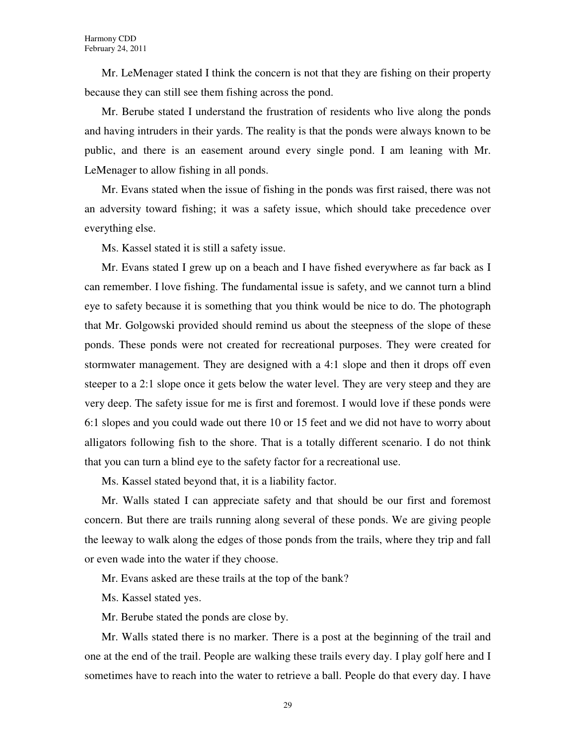Mr. LeMenager stated I think the concern is not that they are fishing on their property because they can still see them fishing across the pond.

Mr. Berube stated I understand the frustration of residents who live along the ponds and having intruders in their yards. The reality is that the ponds were always known to be public, and there is an easement around every single pond. I am leaning with Mr. LeMenager to allow fishing in all ponds.

Mr. Evans stated when the issue of fishing in the ponds was first raised, there was not an adversity toward fishing; it was a safety issue, which should take precedence over everything else.

Ms. Kassel stated it is still a safety issue.

Mr. Evans stated I grew up on a beach and I have fished everywhere as far back as I can remember. I love fishing. The fundamental issue is safety, and we cannot turn a blind eye to safety because it is something that you think would be nice to do. The photograph that Mr. Golgowski provided should remind us about the steepness of the slope of these ponds. These ponds were not created for recreational purposes. They were created for stormwater management. They are designed with a 4:1 slope and then it drops off even steeper to a 2:1 slope once it gets below the water level. They are very steep and they are very deep. The safety issue for me is first and foremost. I would love if these ponds were 6:1 slopes and you could wade out there 10 or 15 feet and we did not have to worry about alligators following fish to the shore. That is a totally different scenario. I do not think that you can turn a blind eye to the safety factor for a recreational use.

Ms. Kassel stated beyond that, it is a liability factor.

Mr. Walls stated I can appreciate safety and that should be our first and foremost concern. But there are trails running along several of these ponds. We are giving people the leeway to walk along the edges of those ponds from the trails, where they trip and fall or even wade into the water if they choose.

Mr. Evans asked are these trails at the top of the bank?

Ms. Kassel stated yes.

Mr. Berube stated the ponds are close by.

Mr. Walls stated there is no marker. There is a post at the beginning of the trail and one at the end of the trail. People are walking these trails every day. I play golf here and I sometimes have to reach into the water to retrieve a ball. People do that every day. I have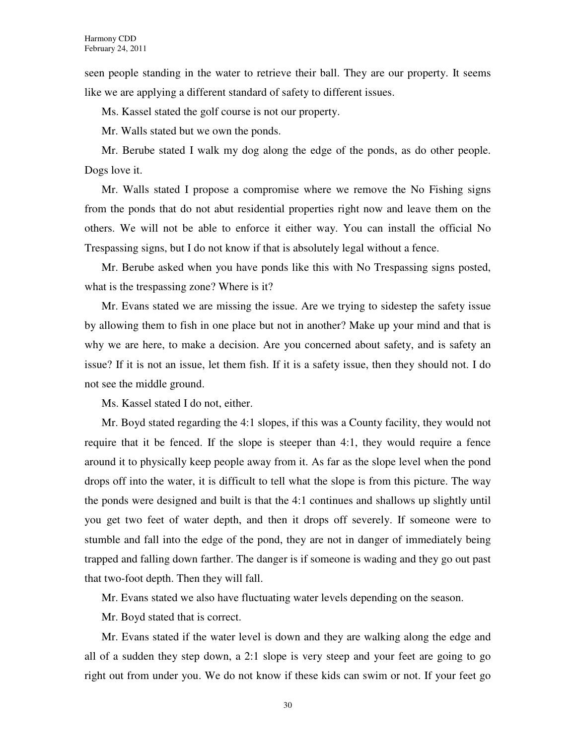seen people standing in the water to retrieve their ball. They are our property. It seems like we are applying a different standard of safety to different issues.

Ms. Kassel stated the golf course is not our property.

Mr. Walls stated but we own the ponds.

Mr. Berube stated I walk my dog along the edge of the ponds, as do other people. Dogs love it.

Mr. Walls stated I propose a compromise where we remove the No Fishing signs from the ponds that do not abut residential properties right now and leave them on the others. We will not be able to enforce it either way. You can install the official No Trespassing signs, but I do not know if that is absolutely legal without a fence.

Mr. Berube asked when you have ponds like this with No Trespassing signs posted, what is the trespassing zone? Where is it?

Mr. Evans stated we are missing the issue. Are we trying to sidestep the safety issue by allowing them to fish in one place but not in another? Make up your mind and that is why we are here, to make a decision. Are you concerned about safety, and is safety an issue? If it is not an issue, let them fish. If it is a safety issue, then they should not. I do not see the middle ground.

Ms. Kassel stated I do not, either.

Mr. Boyd stated regarding the 4:1 slopes, if this was a County facility, they would not require that it be fenced. If the slope is steeper than 4:1, they would require a fence around it to physically keep people away from it. As far as the slope level when the pond drops off into the water, it is difficult to tell what the slope is from this picture. The way the ponds were designed and built is that the 4:1 continues and shallows up slightly until you get two feet of water depth, and then it drops off severely. If someone were to stumble and fall into the edge of the pond, they are not in danger of immediately being trapped and falling down farther. The danger is if someone is wading and they go out past that two-foot depth. Then they will fall.

Mr. Evans stated we also have fluctuating water levels depending on the season.

Mr. Boyd stated that is correct.

Mr. Evans stated if the water level is down and they are walking along the edge and all of a sudden they step down, a 2:1 slope is very steep and your feet are going to go right out from under you. We do not know if these kids can swim or not. If your feet go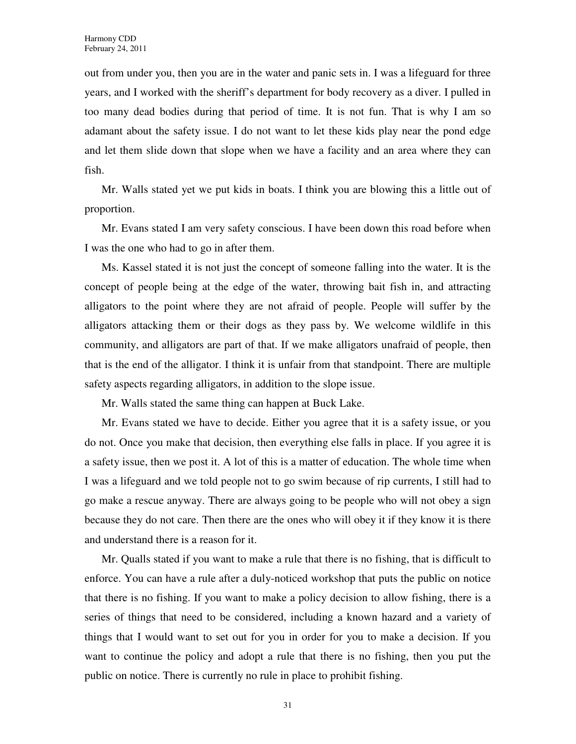out from under you, then you are in the water and panic sets in. I was a lifeguard for three years, and I worked with the sheriff's department for body recovery as a diver. I pulled in too many dead bodies during that period of time. It is not fun. That is why I am so adamant about the safety issue. I do not want to let these kids play near the pond edge and let them slide down that slope when we have a facility and an area where they can fish.

Mr. Walls stated yet we put kids in boats. I think you are blowing this a little out of proportion.

Mr. Evans stated I am very safety conscious. I have been down this road before when I was the one who had to go in after them.

Ms. Kassel stated it is not just the concept of someone falling into the water. It is the concept of people being at the edge of the water, throwing bait fish in, and attracting alligators to the point where they are not afraid of people. People will suffer by the alligators attacking them or their dogs as they pass by. We welcome wildlife in this community, and alligators are part of that. If we make alligators unafraid of people, then that is the end of the alligator. I think it is unfair from that standpoint. There are multiple safety aspects regarding alligators, in addition to the slope issue.

Mr. Walls stated the same thing can happen at Buck Lake.

Mr. Evans stated we have to decide. Either you agree that it is a safety issue, or you do not. Once you make that decision, then everything else falls in place. If you agree it is a safety issue, then we post it. A lot of this is a matter of education. The whole time when I was a lifeguard and we told people not to go swim because of rip currents, I still had to go make a rescue anyway. There are always going to be people who will not obey a sign because they do not care. Then there are the ones who will obey it if they know it is there and understand there is a reason for it.

Mr. Qualls stated if you want to make a rule that there is no fishing, that is difficult to enforce. You can have a rule after a duly-noticed workshop that puts the public on notice that there is no fishing. If you want to make a policy decision to allow fishing, there is a series of things that need to be considered, including a known hazard and a variety of things that I would want to set out for you in order for you to make a decision. If you want to continue the policy and adopt a rule that there is no fishing, then you put the public on notice. There is currently no rule in place to prohibit fishing.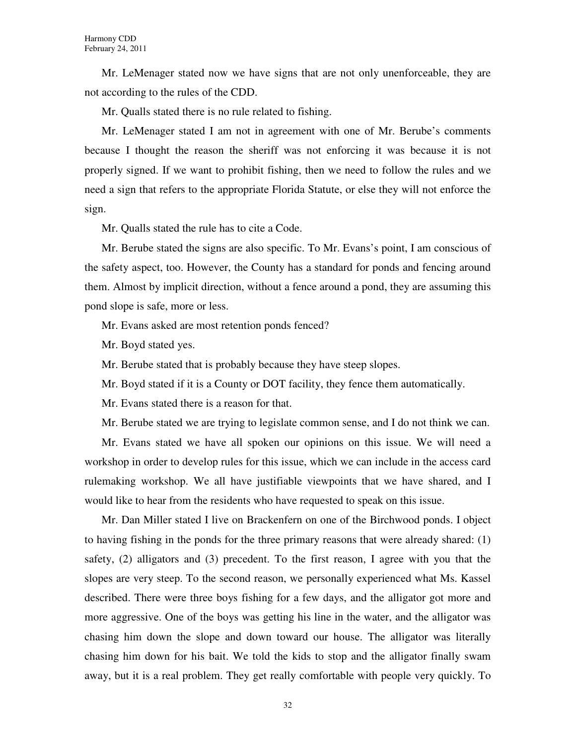Mr. LeMenager stated now we have signs that are not only unenforceable, they are not according to the rules of the CDD.

Mr. Qualls stated there is no rule related to fishing.

Mr. LeMenager stated I am not in agreement with one of Mr. Berube's comments because I thought the reason the sheriff was not enforcing it was because it is not properly signed. If we want to prohibit fishing, then we need to follow the rules and we need a sign that refers to the appropriate Florida Statute, or else they will not enforce the sign.

Mr. Qualls stated the rule has to cite a Code.

Mr. Berube stated the signs are also specific. To Mr. Evans's point, I am conscious of the safety aspect, too. However, the County has a standard for ponds and fencing around them. Almost by implicit direction, without a fence around a pond, they are assuming this pond slope is safe, more or less.

Mr. Evans asked are most retention ponds fenced?

Mr. Boyd stated yes.

Mr. Berube stated that is probably because they have steep slopes.

Mr. Boyd stated if it is a County or DOT facility, they fence them automatically.

Mr. Evans stated there is a reason for that.

Mr. Berube stated we are trying to legislate common sense, and I do not think we can.

Mr. Evans stated we have all spoken our opinions on this issue. We will need a workshop in order to develop rules for this issue, which we can include in the access card rulemaking workshop. We all have justifiable viewpoints that we have shared, and I would like to hear from the residents who have requested to speak on this issue.

Mr. Dan Miller stated I live on Brackenfern on one of the Birchwood ponds. I object to having fishing in the ponds for the three primary reasons that were already shared: (1) safety, (2) alligators and (3) precedent. To the first reason, I agree with you that the slopes are very steep. To the second reason, we personally experienced what Ms. Kassel described. There were three boys fishing for a few days, and the alligator got more and more aggressive. One of the boys was getting his line in the water, and the alligator was chasing him down the slope and down toward our house. The alligator was literally chasing him down for his bait. We told the kids to stop and the alligator finally swam away, but it is a real problem. They get really comfortable with people very quickly. To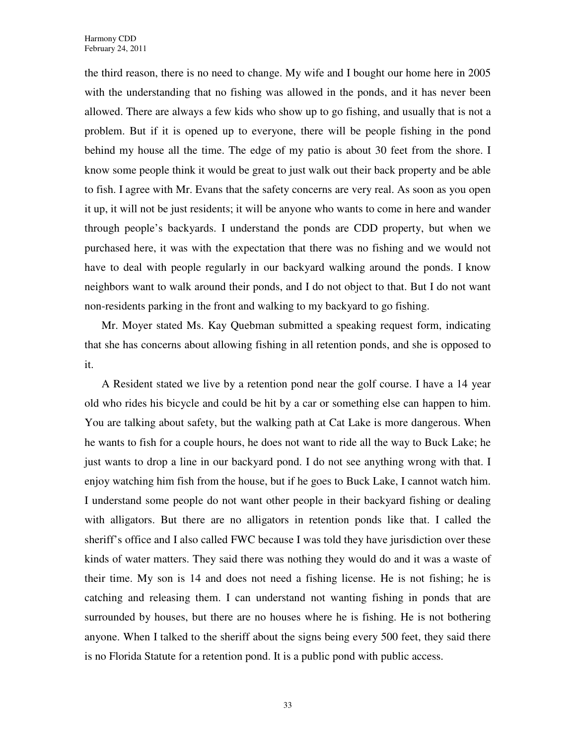the third reason, there is no need to change. My wife and I bought our home here in 2005 with the understanding that no fishing was allowed in the ponds, and it has never been allowed. There are always a few kids who show up to go fishing, and usually that is not a problem. But if it is opened up to everyone, there will be people fishing in the pond behind my house all the time. The edge of my patio is about 30 feet from the shore. I know some people think it would be great to just walk out their back property and be able to fish. I agree with Mr. Evans that the safety concerns are very real. As soon as you open it up, it will not be just residents; it will be anyone who wants to come in here and wander through people's backyards. I understand the ponds are CDD property, but when we purchased here, it was with the expectation that there was no fishing and we would not have to deal with people regularly in our backyard walking around the ponds. I know neighbors want to walk around their ponds, and I do not object to that. But I do not want non-residents parking in the front and walking to my backyard to go fishing.

Mr. Moyer stated Ms. Kay Quebman submitted a speaking request form, indicating that she has concerns about allowing fishing in all retention ponds, and she is opposed to it.

A Resident stated we live by a retention pond near the golf course. I have a 14 year old who rides his bicycle and could be hit by a car or something else can happen to him. You are talking about safety, but the walking path at Cat Lake is more dangerous. When he wants to fish for a couple hours, he does not want to ride all the way to Buck Lake; he just wants to drop a line in our backyard pond. I do not see anything wrong with that. I enjoy watching him fish from the house, but if he goes to Buck Lake, I cannot watch him. I understand some people do not want other people in their backyard fishing or dealing with alligators. But there are no alligators in retention ponds like that. I called the sheriff's office and I also called FWC because I was told they have jurisdiction over these kinds of water matters. They said there was nothing they would do and it was a waste of their time. My son is 14 and does not need a fishing license. He is not fishing; he is catching and releasing them. I can understand not wanting fishing in ponds that are surrounded by houses, but there are no houses where he is fishing. He is not bothering anyone. When I talked to the sheriff about the signs being every 500 feet, they said there is no Florida Statute for a retention pond. It is a public pond with public access.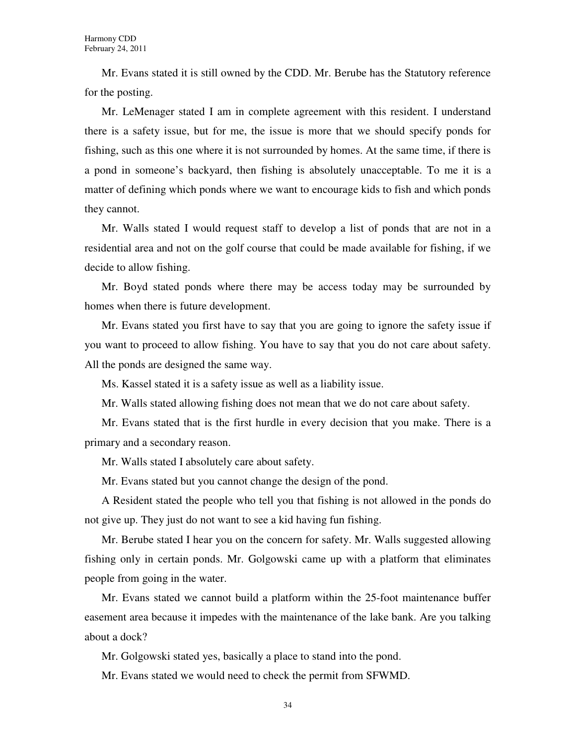Mr. Evans stated it is still owned by the CDD. Mr. Berube has the Statutory reference for the posting.

Mr. LeMenager stated I am in complete agreement with this resident. I understand there is a safety issue, but for me, the issue is more that we should specify ponds for fishing, such as this one where it is not surrounded by homes. At the same time, if there is a pond in someone's backyard, then fishing is absolutely unacceptable. To me it is a matter of defining which ponds where we want to encourage kids to fish and which ponds they cannot.

Mr. Walls stated I would request staff to develop a list of ponds that are not in a residential area and not on the golf course that could be made available for fishing, if we decide to allow fishing.

Mr. Boyd stated ponds where there may be access today may be surrounded by homes when there is future development.

Mr. Evans stated you first have to say that you are going to ignore the safety issue if you want to proceed to allow fishing. You have to say that you do not care about safety. All the ponds are designed the same way.

Ms. Kassel stated it is a safety issue as well as a liability issue.

Mr. Walls stated allowing fishing does not mean that we do not care about safety.

Mr. Evans stated that is the first hurdle in every decision that you make. There is a primary and a secondary reason.

Mr. Walls stated I absolutely care about safety.

Mr. Evans stated but you cannot change the design of the pond.

A Resident stated the people who tell you that fishing is not allowed in the ponds do not give up. They just do not want to see a kid having fun fishing.

Mr. Berube stated I hear you on the concern for safety. Mr. Walls suggested allowing fishing only in certain ponds. Mr. Golgowski came up with a platform that eliminates people from going in the water.

Mr. Evans stated we cannot build a platform within the 25-foot maintenance buffer easement area because it impedes with the maintenance of the lake bank. Are you talking about a dock?

Mr. Golgowski stated yes, basically a place to stand into the pond.

Mr. Evans stated we would need to check the permit from SFWMD.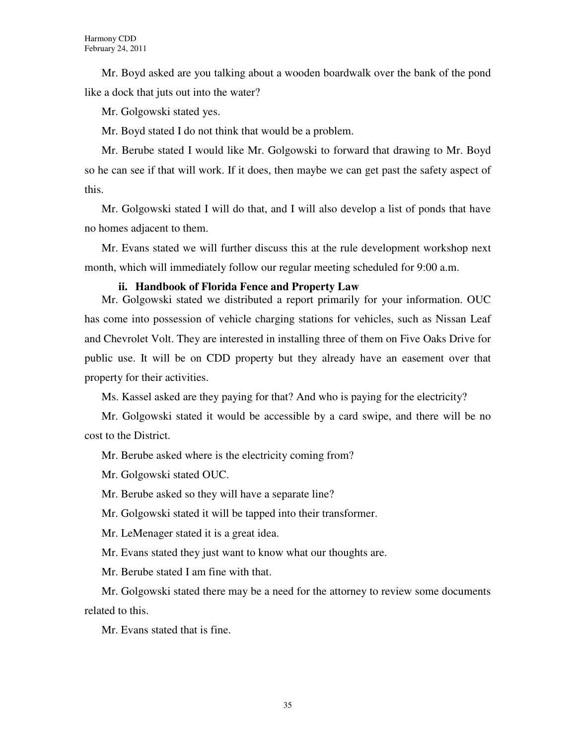Mr. Boyd asked are you talking about a wooden boardwalk over the bank of the pond like a dock that juts out into the water?

Mr. Golgowski stated yes.

Mr. Boyd stated I do not think that would be a problem.

Mr. Berube stated I would like Mr. Golgowski to forward that drawing to Mr. Boyd so he can see if that will work. If it does, then maybe we can get past the safety aspect of this.

Mr. Golgowski stated I will do that, and I will also develop a list of ponds that have no homes adjacent to them.

Mr. Evans stated we will further discuss this at the rule development workshop next month, which will immediately follow our regular meeting scheduled for 9:00 a.m.

#### **ii. Handbook of Florida Fence and Property Law**

Mr. Golgowski stated we distributed a report primarily for your information. OUC has come into possession of vehicle charging stations for vehicles, such as Nissan Leaf and Chevrolet Volt. They are interested in installing three of them on Five Oaks Drive for public use. It will be on CDD property but they already have an easement over that property for their activities.

Ms. Kassel asked are they paying for that? And who is paying for the electricity?

Mr. Golgowski stated it would be accessible by a card swipe, and there will be no cost to the District.

Mr. Berube asked where is the electricity coming from?

Mr. Golgowski stated OUC.

Mr. Berube asked so they will have a separate line?

Mr. Golgowski stated it will be tapped into their transformer.

Mr. LeMenager stated it is a great idea.

Mr. Evans stated they just want to know what our thoughts are.

Mr. Berube stated I am fine with that.

Mr. Golgowski stated there may be a need for the attorney to review some documents related to this.

Mr. Evans stated that is fine.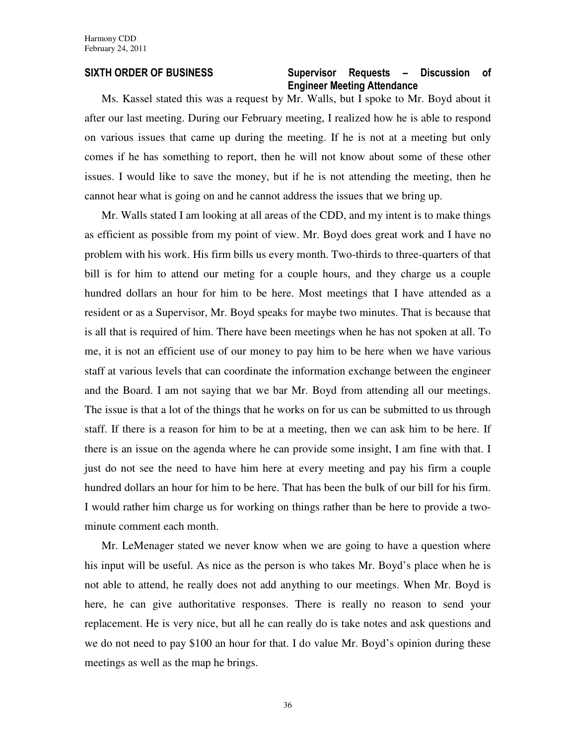#### SIXTH ORDER OF BUSINESS Supervisor Requests - Discussion of Engineer Meeting Attendance

Ms. Kassel stated this was a request by Mr. Walls, but I spoke to Mr. Boyd about it after our last meeting. During our February meeting, I realized how he is able to respond on various issues that came up during the meeting. If he is not at a meeting but only comes if he has something to report, then he will not know about some of these other issues. I would like to save the money, but if he is not attending the meeting, then he cannot hear what is going on and he cannot address the issues that we bring up.

Mr. Walls stated I am looking at all areas of the CDD, and my intent is to make things as efficient as possible from my point of view. Mr. Boyd does great work and I have no problem with his work. His firm bills us every month. Two-thirds to three-quarters of that bill is for him to attend our meting for a couple hours, and they charge us a couple hundred dollars an hour for him to be here. Most meetings that I have attended as a resident or as a Supervisor, Mr. Boyd speaks for maybe two minutes. That is because that is all that is required of him. There have been meetings when he has not spoken at all. To me, it is not an efficient use of our money to pay him to be here when we have various staff at various levels that can coordinate the information exchange between the engineer and the Board. I am not saying that we bar Mr. Boyd from attending all our meetings. The issue is that a lot of the things that he works on for us can be submitted to us through staff. If there is a reason for him to be at a meeting, then we can ask him to be here. If there is an issue on the agenda where he can provide some insight, I am fine with that. I just do not see the need to have him here at every meeting and pay his firm a couple hundred dollars an hour for him to be here. That has been the bulk of our bill for his firm. I would rather him charge us for working on things rather than be here to provide a twominute comment each month.

Mr. LeMenager stated we never know when we are going to have a question where his input will be useful. As nice as the person is who takes Mr. Boyd's place when he is not able to attend, he really does not add anything to our meetings. When Mr. Boyd is here, he can give authoritative responses. There is really no reason to send your replacement. He is very nice, but all he can really do is take notes and ask questions and we do not need to pay \$100 an hour for that. I do value Mr. Boyd's opinion during these meetings as well as the map he brings.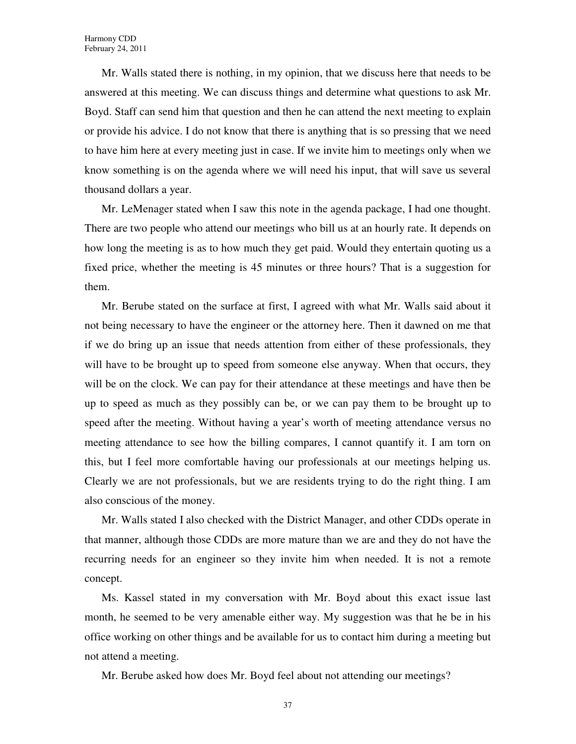Mr. Walls stated there is nothing, in my opinion, that we discuss here that needs to be answered at this meeting. We can discuss things and determine what questions to ask Mr. Boyd. Staff can send him that question and then he can attend the next meeting to explain or provide his advice. I do not know that there is anything that is so pressing that we need to have him here at every meeting just in case. If we invite him to meetings only when we know something is on the agenda where we will need his input, that will save us several thousand dollars a year.

Mr. LeMenager stated when I saw this note in the agenda package, I had one thought. There are two people who attend our meetings who bill us at an hourly rate. It depends on how long the meeting is as to how much they get paid. Would they entertain quoting us a fixed price, whether the meeting is 45 minutes or three hours? That is a suggestion for them.

Mr. Berube stated on the surface at first, I agreed with what Mr. Walls said about it not being necessary to have the engineer or the attorney here. Then it dawned on me that if we do bring up an issue that needs attention from either of these professionals, they will have to be brought up to speed from someone else anyway. When that occurs, they will be on the clock. We can pay for their attendance at these meetings and have then be up to speed as much as they possibly can be, or we can pay them to be brought up to speed after the meeting. Without having a year's worth of meeting attendance versus no meeting attendance to see how the billing compares, I cannot quantify it. I am torn on this, but I feel more comfortable having our professionals at our meetings helping us. Clearly we are not professionals, but we are residents trying to do the right thing. I am also conscious of the money.

Mr. Walls stated I also checked with the District Manager, and other CDDs operate in that manner, although those CDDs are more mature than we are and they do not have the recurring needs for an engineer so they invite him when needed. It is not a remote concept.

Ms. Kassel stated in my conversation with Mr. Boyd about this exact issue last month, he seemed to be very amenable either way. My suggestion was that he be in his office working on other things and be available for us to contact him during a meeting but not attend a meeting.

Mr. Berube asked how does Mr. Boyd feel about not attending our meetings?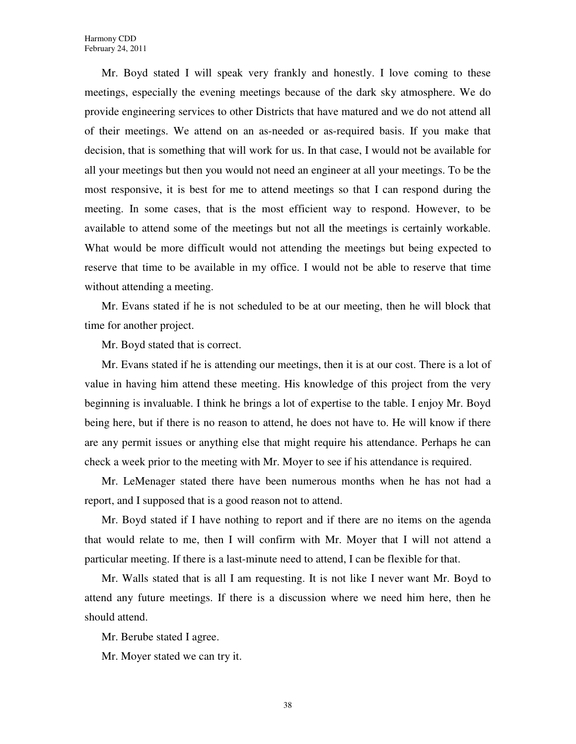Mr. Boyd stated I will speak very frankly and honestly. I love coming to these meetings, especially the evening meetings because of the dark sky atmosphere. We do provide engineering services to other Districts that have matured and we do not attend all of their meetings. We attend on an as-needed or as-required basis. If you make that decision, that is something that will work for us. In that case, I would not be available for all your meetings but then you would not need an engineer at all your meetings. To be the most responsive, it is best for me to attend meetings so that I can respond during the meeting. In some cases, that is the most efficient way to respond. However, to be available to attend some of the meetings but not all the meetings is certainly workable. What would be more difficult would not attending the meetings but being expected to reserve that time to be available in my office. I would not be able to reserve that time without attending a meeting.

Mr. Evans stated if he is not scheduled to be at our meeting, then he will block that time for another project.

Mr. Boyd stated that is correct.

Mr. Evans stated if he is attending our meetings, then it is at our cost. There is a lot of value in having him attend these meeting. His knowledge of this project from the very beginning is invaluable. I think he brings a lot of expertise to the table. I enjoy Mr. Boyd being here, but if there is no reason to attend, he does not have to. He will know if there are any permit issues or anything else that might require his attendance. Perhaps he can check a week prior to the meeting with Mr. Moyer to see if his attendance is required.

Mr. LeMenager stated there have been numerous months when he has not had a report, and I supposed that is a good reason not to attend.

Mr. Boyd stated if I have nothing to report and if there are no items on the agenda that would relate to me, then I will confirm with Mr. Moyer that I will not attend a particular meeting. If there is a last-minute need to attend, I can be flexible for that.

Mr. Walls stated that is all I am requesting. It is not like I never want Mr. Boyd to attend any future meetings. If there is a discussion where we need him here, then he should attend.

Mr. Berube stated I agree.

Mr. Moyer stated we can try it.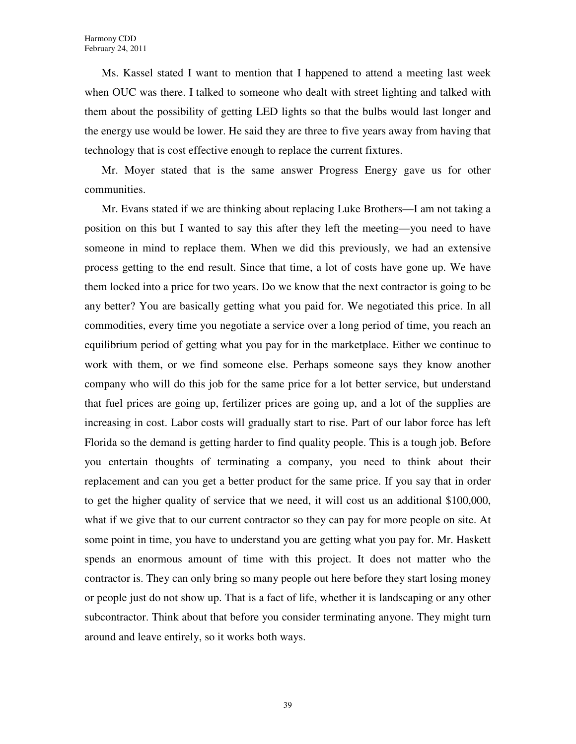Ms. Kassel stated I want to mention that I happened to attend a meeting last week when OUC was there. I talked to someone who dealt with street lighting and talked with them about the possibility of getting LED lights so that the bulbs would last longer and the energy use would be lower. He said they are three to five years away from having that technology that is cost effective enough to replace the current fixtures.

Mr. Moyer stated that is the same answer Progress Energy gave us for other communities.

Mr. Evans stated if we are thinking about replacing Luke Brothers—I am not taking a position on this but I wanted to say this after they left the meeting—you need to have someone in mind to replace them. When we did this previously, we had an extensive process getting to the end result. Since that time, a lot of costs have gone up. We have them locked into a price for two years. Do we know that the next contractor is going to be any better? You are basically getting what you paid for. We negotiated this price. In all commodities, every time you negotiate a service over a long period of time, you reach an equilibrium period of getting what you pay for in the marketplace. Either we continue to work with them, or we find someone else. Perhaps someone says they know another company who will do this job for the same price for a lot better service, but understand that fuel prices are going up, fertilizer prices are going up, and a lot of the supplies are increasing in cost. Labor costs will gradually start to rise. Part of our labor force has left Florida so the demand is getting harder to find quality people. This is a tough job. Before you entertain thoughts of terminating a company, you need to think about their replacement and can you get a better product for the same price. If you say that in order to get the higher quality of service that we need, it will cost us an additional \$100,000, what if we give that to our current contractor so they can pay for more people on site. At some point in time, you have to understand you are getting what you pay for. Mr. Haskett spends an enormous amount of time with this project. It does not matter who the contractor is. They can only bring so many people out here before they start losing money or people just do not show up. That is a fact of life, whether it is landscaping or any other subcontractor. Think about that before you consider terminating anyone. They might turn around and leave entirely, so it works both ways.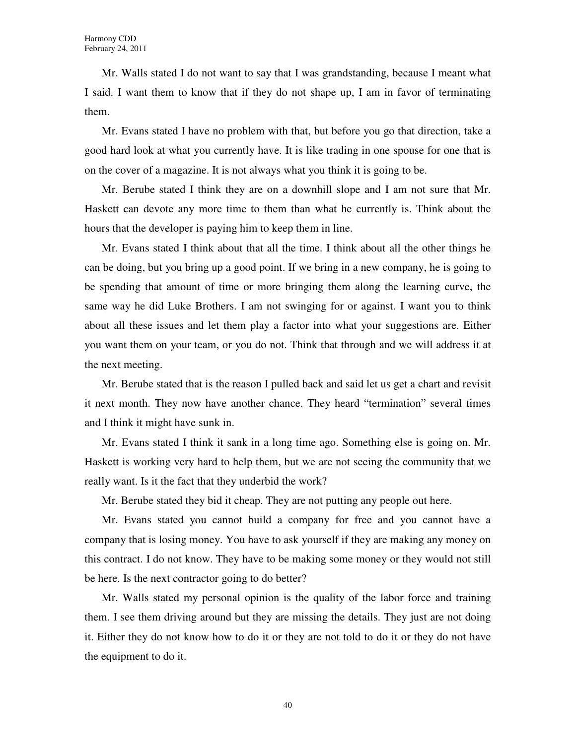Mr. Walls stated I do not want to say that I was grandstanding, because I meant what I said. I want them to know that if they do not shape up, I am in favor of terminating them.

Mr. Evans stated I have no problem with that, but before you go that direction, take a good hard look at what you currently have. It is like trading in one spouse for one that is on the cover of a magazine. It is not always what you think it is going to be.

Mr. Berube stated I think they are on a downhill slope and I am not sure that Mr. Haskett can devote any more time to them than what he currently is. Think about the hours that the developer is paying him to keep them in line.

Mr. Evans stated I think about that all the time. I think about all the other things he can be doing, but you bring up a good point. If we bring in a new company, he is going to be spending that amount of time or more bringing them along the learning curve, the same way he did Luke Brothers. I am not swinging for or against. I want you to think about all these issues and let them play a factor into what your suggestions are. Either you want them on your team, or you do not. Think that through and we will address it at the next meeting.

Mr. Berube stated that is the reason I pulled back and said let us get a chart and revisit it next month. They now have another chance. They heard "termination" several times and I think it might have sunk in.

Mr. Evans stated I think it sank in a long time ago. Something else is going on. Mr. Haskett is working very hard to help them, but we are not seeing the community that we really want. Is it the fact that they underbid the work?

Mr. Berube stated they bid it cheap. They are not putting any people out here.

Mr. Evans stated you cannot build a company for free and you cannot have a company that is losing money. You have to ask yourself if they are making any money on this contract. I do not know. They have to be making some money or they would not still be here. Is the next contractor going to do better?

Mr. Walls stated my personal opinion is the quality of the labor force and training them. I see them driving around but they are missing the details. They just are not doing it. Either they do not know how to do it or they are not told to do it or they do not have the equipment to do it.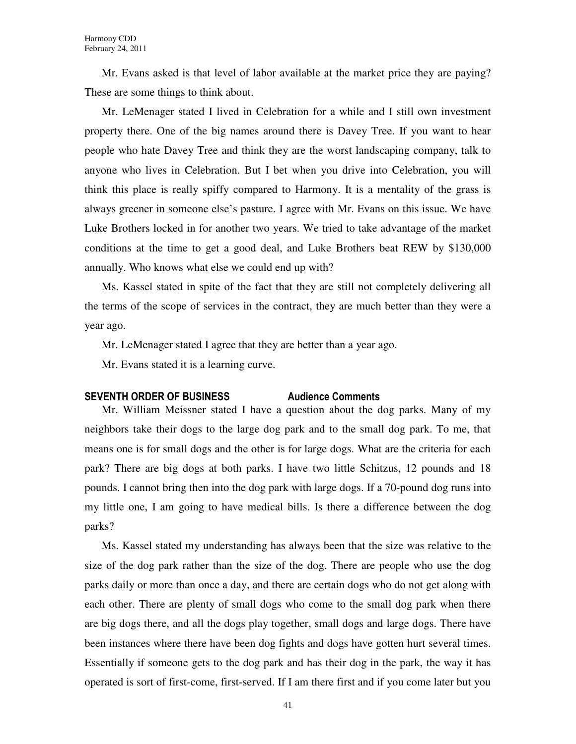Mr. Evans asked is that level of labor available at the market price they are paying? These are some things to think about.

Mr. LeMenager stated I lived in Celebration for a while and I still own investment property there. One of the big names around there is Davey Tree. If you want to hear people who hate Davey Tree and think they are the worst landscaping company, talk to anyone who lives in Celebration. But I bet when you drive into Celebration, you will think this place is really spiffy compared to Harmony. It is a mentality of the grass is always greener in someone else's pasture. I agree with Mr. Evans on this issue. We have Luke Brothers locked in for another two years. We tried to take advantage of the market conditions at the time to get a good deal, and Luke Brothers beat REW by \$130,000 annually. Who knows what else we could end up with?

Ms. Kassel stated in spite of the fact that they are still not completely delivering all the terms of the scope of services in the contract, they are much better than they were a year ago.

Mr. LeMenager stated I agree that they are better than a year ago.

Mr. Evans stated it is a learning curve.

#### SEVENTH ORDER OF BUSINESS Audience Comments

Mr. William Meissner stated I have a question about the dog parks. Many of my neighbors take their dogs to the large dog park and to the small dog park. To me, that means one is for small dogs and the other is for large dogs. What are the criteria for each park? There are big dogs at both parks. I have two little Schitzus, 12 pounds and 18 pounds. I cannot bring then into the dog park with large dogs. If a 70-pound dog runs into my little one, I am going to have medical bills. Is there a difference between the dog parks?

Ms. Kassel stated my understanding has always been that the size was relative to the size of the dog park rather than the size of the dog. There are people who use the dog parks daily or more than once a day, and there are certain dogs who do not get along with each other. There are plenty of small dogs who come to the small dog park when there are big dogs there, and all the dogs play together, small dogs and large dogs. There have been instances where there have been dog fights and dogs have gotten hurt several times. Essentially if someone gets to the dog park and has their dog in the park, the way it has operated is sort of first-come, first-served. If I am there first and if you come later but you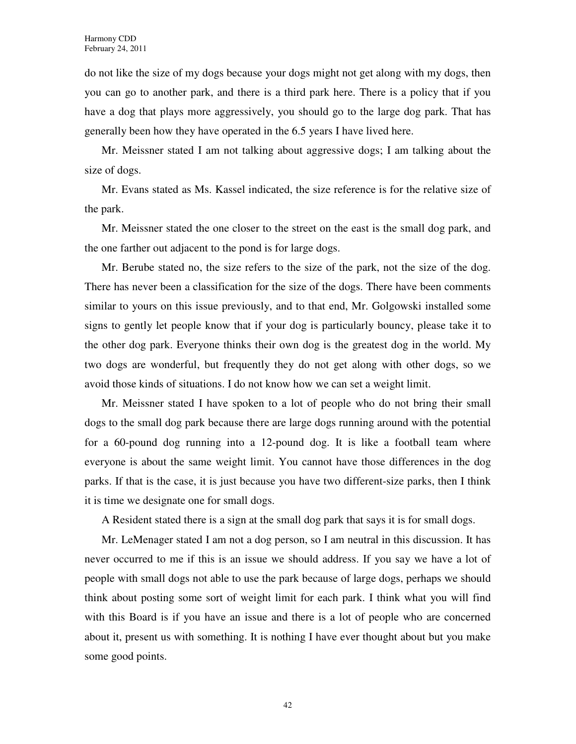do not like the size of my dogs because your dogs might not get along with my dogs, then you can go to another park, and there is a third park here. There is a policy that if you have a dog that plays more aggressively, you should go to the large dog park. That has generally been how they have operated in the 6.5 years I have lived here.

Mr. Meissner stated I am not talking about aggressive dogs; I am talking about the size of dogs.

Mr. Evans stated as Ms. Kassel indicated, the size reference is for the relative size of the park.

Mr. Meissner stated the one closer to the street on the east is the small dog park, and the one farther out adjacent to the pond is for large dogs.

Mr. Berube stated no, the size refers to the size of the park, not the size of the dog. There has never been a classification for the size of the dogs. There have been comments similar to yours on this issue previously, and to that end, Mr. Golgowski installed some signs to gently let people know that if your dog is particularly bouncy, please take it to the other dog park. Everyone thinks their own dog is the greatest dog in the world. My two dogs are wonderful, but frequently they do not get along with other dogs, so we avoid those kinds of situations. I do not know how we can set a weight limit.

Mr. Meissner stated I have spoken to a lot of people who do not bring their small dogs to the small dog park because there are large dogs running around with the potential for a 60-pound dog running into a 12-pound dog. It is like a football team where everyone is about the same weight limit. You cannot have those differences in the dog parks. If that is the case, it is just because you have two different-size parks, then I think it is time we designate one for small dogs.

A Resident stated there is a sign at the small dog park that says it is for small dogs.

Mr. LeMenager stated I am not a dog person, so I am neutral in this discussion. It has never occurred to me if this is an issue we should address. If you say we have a lot of people with small dogs not able to use the park because of large dogs, perhaps we should think about posting some sort of weight limit for each park. I think what you will find with this Board is if you have an issue and there is a lot of people who are concerned about it, present us with something. It is nothing I have ever thought about but you make some good points.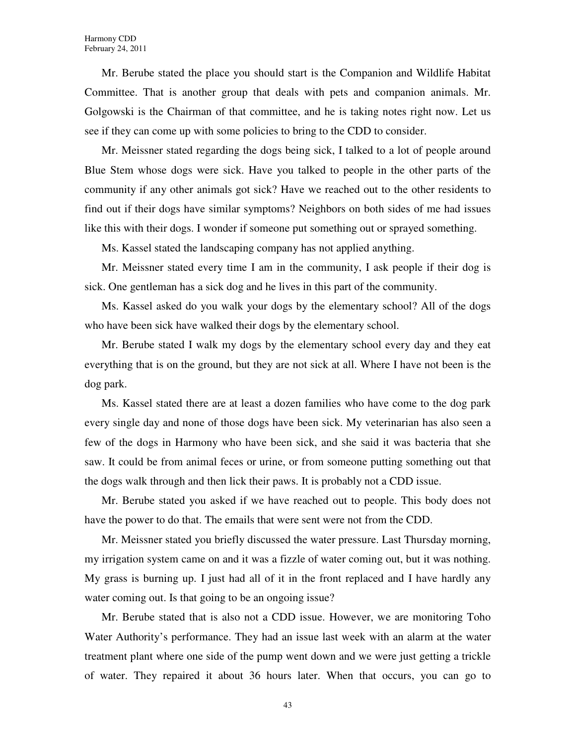Mr. Berube stated the place you should start is the Companion and Wildlife Habitat Committee. That is another group that deals with pets and companion animals. Mr. Golgowski is the Chairman of that committee, and he is taking notes right now. Let us see if they can come up with some policies to bring to the CDD to consider.

Mr. Meissner stated regarding the dogs being sick, I talked to a lot of people around Blue Stem whose dogs were sick. Have you talked to people in the other parts of the community if any other animals got sick? Have we reached out to the other residents to find out if their dogs have similar symptoms? Neighbors on both sides of me had issues like this with their dogs. I wonder if someone put something out or sprayed something.

Ms. Kassel stated the landscaping company has not applied anything.

Mr. Meissner stated every time I am in the community, I ask people if their dog is sick. One gentleman has a sick dog and he lives in this part of the community.

Ms. Kassel asked do you walk your dogs by the elementary school? All of the dogs who have been sick have walked their dogs by the elementary school.

Mr. Berube stated I walk my dogs by the elementary school every day and they eat everything that is on the ground, but they are not sick at all. Where I have not been is the dog park.

Ms. Kassel stated there are at least a dozen families who have come to the dog park every single day and none of those dogs have been sick. My veterinarian has also seen a few of the dogs in Harmony who have been sick, and she said it was bacteria that she saw. It could be from animal feces or urine, or from someone putting something out that the dogs walk through and then lick their paws. It is probably not a CDD issue.

Mr. Berube stated you asked if we have reached out to people. This body does not have the power to do that. The emails that were sent were not from the CDD.

Mr. Meissner stated you briefly discussed the water pressure. Last Thursday morning, my irrigation system came on and it was a fizzle of water coming out, but it was nothing. My grass is burning up. I just had all of it in the front replaced and I have hardly any water coming out. Is that going to be an ongoing issue?

Mr. Berube stated that is also not a CDD issue. However, we are monitoring Toho Water Authority's performance. They had an issue last week with an alarm at the water treatment plant where one side of the pump went down and we were just getting a trickle of water. They repaired it about 36 hours later. When that occurs, you can go to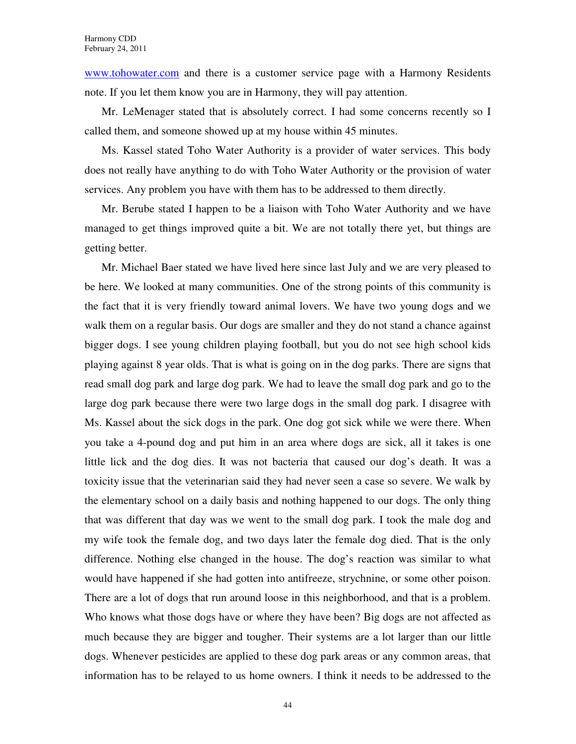www.tohowater.com and there is a customer service page with a Harmony Residents note. If you let them know you are in Harmony, they will pay attention.

Mr. LeMenager stated that is absolutely correct. I had some concerns recently so I called them, and someone showed up at my house within 45 minutes.

Ms. Kassel stated Toho Water Authority is a provider of water services. This body does not really have anything to do with Toho Water Authority or the provision of water services. Any problem you have with them has to be addressed to them directly.

Mr. Berube stated I happen to be a liaison with Toho Water Authority and we have managed to get things improved quite a bit. We are not totally there yet, but things are getting better.

Mr. Michael Baer stated we have lived here since last July and we are very pleased to be here. We looked at many communities. One of the strong points of this community is the fact that it is very friendly toward animal lovers. We have two young dogs and we walk them on a regular basis. Our dogs are smaller and they do not stand a chance against bigger dogs. I see young children playing football, but you do not see high school kids playing against 8 year olds. That is what is going on in the dog parks. There are signs that read small dog park and large dog park. We had to leave the small dog park and go to the large dog park because there were two large dogs in the small dog park. I disagree with Ms. Kassel about the sick dogs in the park. One dog got sick while we were there. When you take a 4-pound dog and put him in an area where dogs are sick, all it takes is one little lick and the dog dies. It was not bacteria that caused our dog's death. It was a toxicity issue that the veterinarian said they had never seen a case so severe. We walk by the elementary school on a daily basis and nothing happened to our dogs. The only thing that was different that day was we went to the small dog park. I took the male dog and my wife took the female dog, and two days later the female dog died. That is the only difference. Nothing else changed in the house. The dog's reaction was similar to what would have happened if she had gotten into antifreeze, strychnine, or some other poison. There are a lot of dogs that run around loose in this neighborhood, and that is a problem. Who knows what those dogs have or where they have been? Big dogs are not affected as much because they are bigger and tougher. Their systems are a lot larger than our little dogs. Whenever pesticides are applied to these dog park areas or any common areas, that information has to be relayed to us home owners. I think it needs to be addressed to the